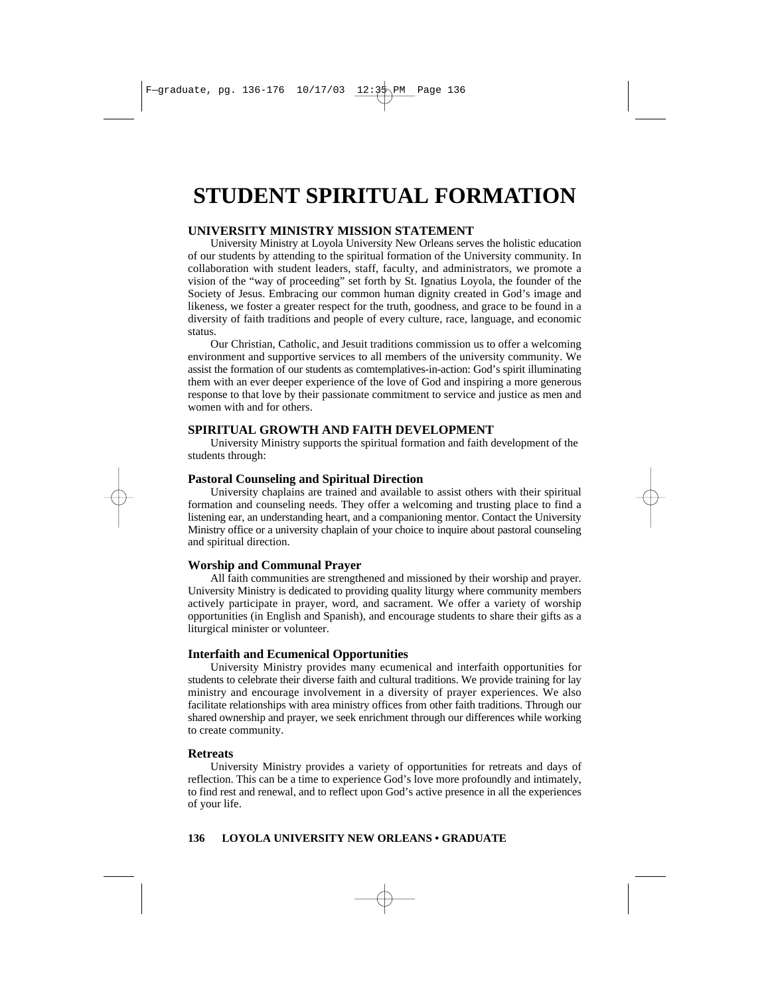# **STUDENT SPIRITUAL FORMATION**

### **UNIVERSITY MINISTRY MISSION STATEMENT**

University Ministry at Loyola University New Orleans serves the holistic education of our students by attending to the spiritual formation of the University community. In collaboration with student leaders, staff, faculty, and administrators, we promote a vision of the "way of proceeding" set forth by St. Ignatius Loyola, the founder of the Society of Jesus. Embracing our common human dignity created in God's image and likeness, we foster a greater respect for the truth, goodness, and grace to be found in a diversity of faith traditions and people of every culture, race, language, and economic status.

Our Christian, Catholic, and Jesuit traditions commission us to offer a welcoming environment and supportive services to all members of the university community. We assist the formation of our students as comtemplatives-in-action: God's spirit illuminating them with an ever deeper experience of the love of God and inspiring a more generous response to that love by their passionate commitment to service and justice as men and women with and for others.

### **SPIRITUAL GROWTH AND FAITH DEVELOPMENT**

University Ministry supports the spiritual formation and faith development of the students through:

### **Pastoral Counseling and Spiritual Direction**

University chaplains are trained and available to assist others with their spiritual formation and counseling needs. They offer a welcoming and trusting place to find a listening ear, an understanding heart, and a companioning mentor. Contact the University Ministry office or a university chaplain of your choice to inquire about pastoral counseling and spiritual direction.

### **Worship and Communal Prayer**

All faith communities are strengthened and missioned by their worship and prayer. University Ministry is dedicated to providing quality liturgy where community members actively participate in prayer, word, and sacrament. We offer a variety of worship opportunities (in English and Spanish), and encourage students to share their gifts as a liturgical minister or volunteer.

### **Interfaith and Ecumenical Opportunities**

University Ministry provides many ecumenical and interfaith opportunities for students to celebrate their diverse faith and cultural traditions. We provide training for lay ministry and encourage involvement in a diversity of prayer experiences. We also facilitate relationships with area ministry offices from other faith traditions. Through our shared ownership and prayer, we seek enrichment through our differences while working to create community.

### **Retreats**

University Ministry provides a variety of opportunities for retreats and days of reflection. This can be a time to experience God's love more profoundly and intimately, to find rest and renewal, and to reflect upon God's active presence in all the experiences of your life.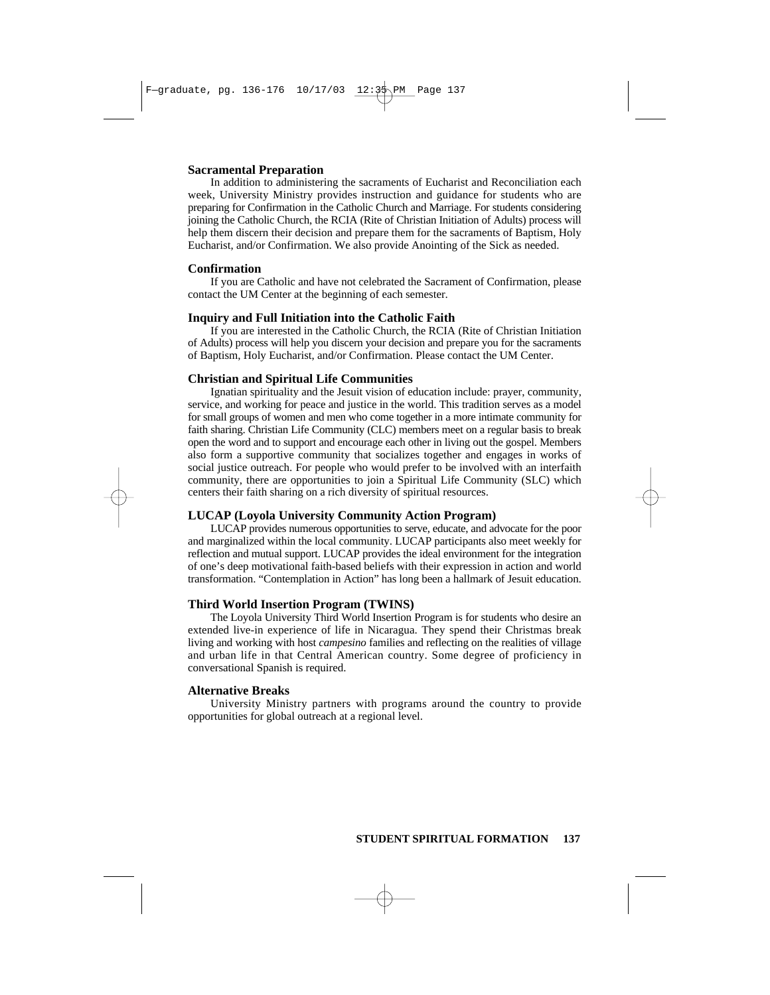### **Sacramental Preparation**

In addition to administering the sacraments of Eucharist and Reconciliation each week, University Ministry provides instruction and guidance for students who are preparing for Confirmation in the Catholic Church and Marriage. For students considering joining the Catholic Church, the RCIA (Rite of Christian Initiation of Adults) process will help them discern their decision and prepare them for the sacraments of Baptism, Holy Eucharist, and/or Confirmation. We also provide Anointing of the Sick as needed.

### **Confirmation**

If you are Catholic and have not celebrated the Sacrament of Confirmation, please contact the UM Center at the beginning of each semester.

#### **Inquiry and Full Initiation into the Catholic Faith**

If you are interested in the Catholic Church, the RCIA (Rite of Christian Initiation of Adults) process will help you discern your decision and prepare you for the sacraments of Baptism, Holy Eucharist, and/or Confirmation. Please contact the UM Center.

#### **Christian and Spiritual Life Communities**

Ignatian spirituality and the Jesuit vision of education include: prayer, community, service, and working for peace and justice in the world. This tradition serves as a model for small groups of women and men who come together in a more intimate community for faith sharing. Christian Life Community (CLC) members meet on a regular basis to break open the word and to support and encourage each other in living out the gospel. Members also form a supportive community that socializes together and engages in works of social justice outreach. For people who would prefer to be involved with an interfaith community, there are opportunities to join a Spiritual Life Community (SLC) which centers their faith sharing on a rich diversity of spiritual resources.

### **LUCAP (Loyola University Community Action Program)**

LUCAP provides numerous opportunities to serve, educate, and advocate for the poor and marginalized within the local community. LUCAP participants also meet weekly for reflection and mutual support. LUCAP provides the ideal environment for the integration of one's deep motivational faith-based beliefs with their expression in action and world transformation. "Contemplation in Action" has long been a hallmark of Jesuit education.

#### **Third World Insertion Program (TWINS)**

The Loyola University Third World Insertion Program is for students who desire an extended live-in experience of life in Nicaragua. They spend their Christmas break living and working with host *campesino* families and reflecting on the realities of village and urban life in that Central American country. Some degree of proficiency in conversational Spanish is required.

### **Alternative Breaks**

University Ministry partners with programs around the country to provide opportunities for global outreach at a regional level.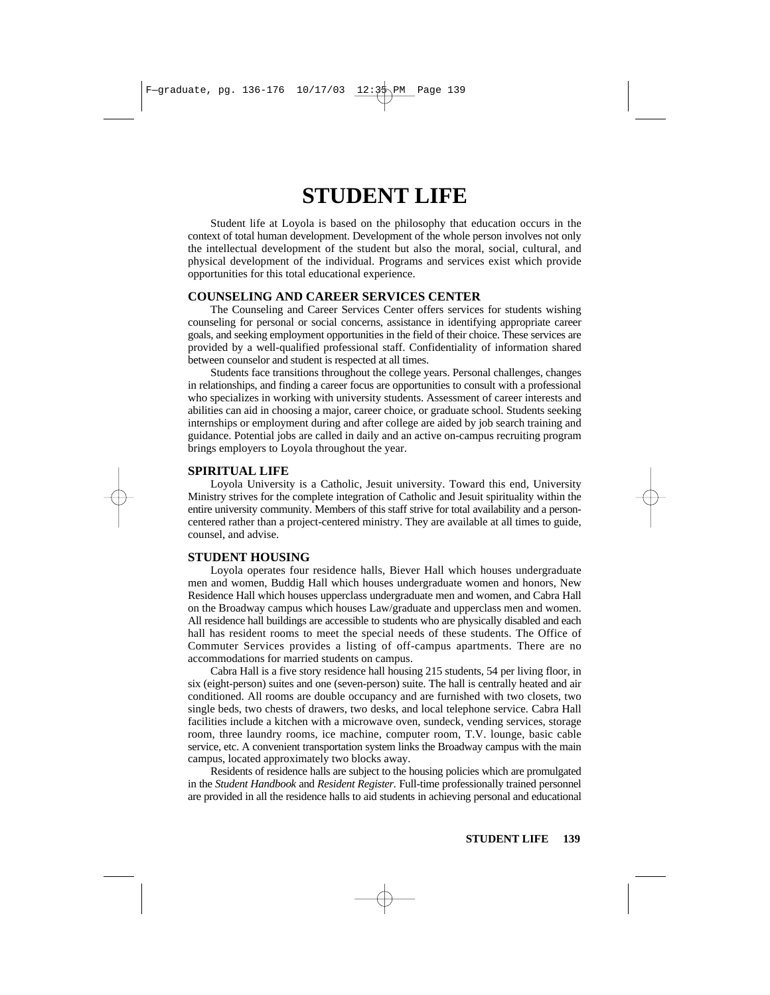# **STUDENT LIFE**

Student life at Loyola is based on the philosophy that education occurs in the context of total human development. Development of the whole person involves not only the intellectual development of the student but also the moral, social, cultural, and physical development of the individual. Programs and services exist which provide opportunities for this total educational experience.

### **COUNSELING AND CAREER SERVICES CENTER**

The Counseling and Career Services Center offers services for students wishing counseling for personal or social concerns, assistance in identifying appropriate career goals, and seeking employment opportunities in the field of their choice. These services are provided by a well-qualified professional staff. Confidentiality of information shared between counselor and student is respected at all times.

Students face transitions throughout the college years. Personal challenges, changes in relationships, and finding a career focus are opportunities to consult with a professional who specializes in working with university students. Assessment of career interests and abilities can aid in choosing a major, career choice, or graduate school. Students seeking internships or employment during and after college are aided by job search training and guidance. Potential jobs are called in daily and an active on-campus recruiting program brings employers to Loyola throughout the year.

### **SPIRITUAL LIFE**

Loyola University is a Catholic, Jesuit university. Toward this end, University Ministry strives for the complete integration of Catholic and Jesuit spirituality within the entire university community. Members of this staff strive for total availability and a personcentered rather than a project-centered ministry. They are available at all times to guide, counsel, and advise.

### **STUDENT HOUSING**

Loyola operates four residence halls, Biever Hall which houses undergraduate men and women, Buddig Hall which houses undergraduate women and honors, New Residence Hall which houses upperclass undergraduate men and women, and Cabra Hall on the Broadway campus which houses Law/graduate and upperclass men and women. All residence hall buildings are accessible to students who are physically disabled and each hall has resident rooms to meet the special needs of these students. The Office of Commuter Services provides a listing of off-campus apartments. There are no accommodations for married students on campus.

Cabra Hall is a five story residence hall housing 215 students, 54 per living floor, in six (eight-person) suites and one (seven-person) suite. The hall is centrally heated and air conditioned. All rooms are double occupancy and are furnished with two closets, two single beds, two chests of drawers, two desks, and local telephone service. Cabra Hall facilities include a kitchen with a microwave oven, sundeck, vending services, storage room, three laundry rooms, ice machine, computer room, T.V. lounge, basic cable service, etc. A convenient transportation system links the Broadway campus with the main campus, located approximately two blocks away.

Residents of residence halls are subject to the housing policies which are promulgated in the *Student Handbook* and *Resident Register.* Full-time professionally trained personnel are provided in all the residence halls to aid students in achieving personal and educational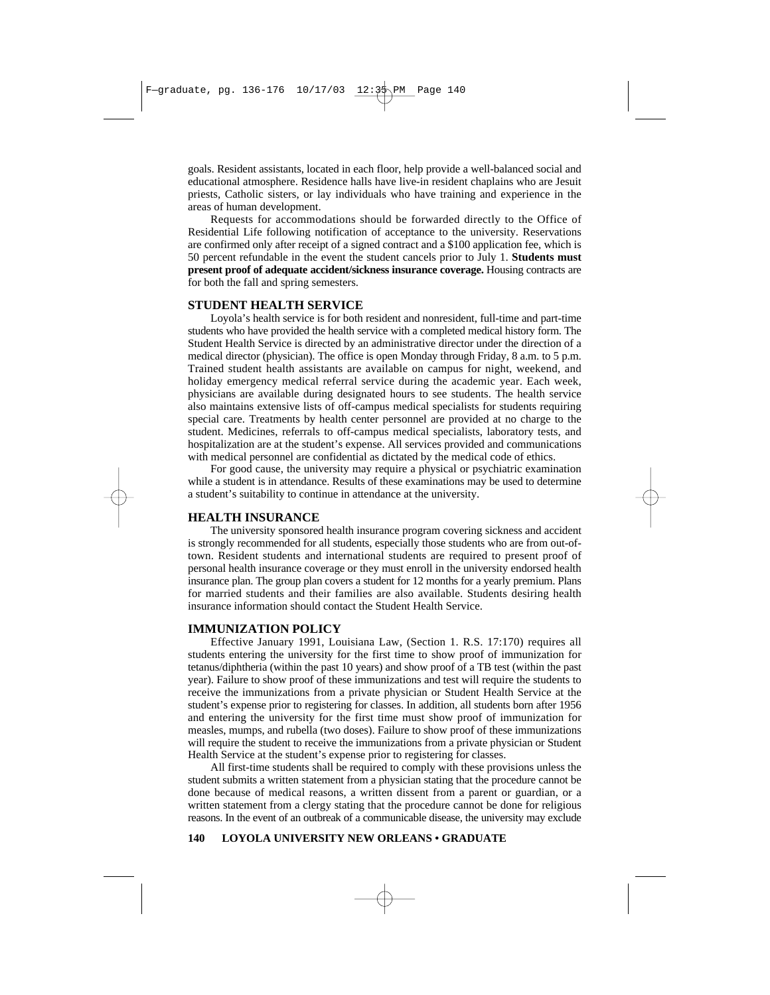goals. Resident assistants, located in each floor, help provide a well-balanced social and educational atmosphere. Residence halls have live*-*in resident chaplains who are Jesuit priests, Catholic sisters, or lay individuals who have training and experience in the areas of human development.

Requests for accommodations should be forwarded directly to the Office of Residential Life following notification of acceptance to the university. Reservations are confirmed only after receipt of a signed contract and a \$100 application fee, which is 50 percent refundable in the event the student cancels prior to July 1. **Students must present proof of adequate accident/sickness insurance coverage.** Housing contracts are for both the fall and spring semesters.

### **STUDENT HEALTH SERVICE**

Loyola's health service is for both resident and nonresident, full-time and part-time students who have provided the health service with a completed medical history form. The Student Health Service is directed by an administrative director under the direction of a medical director (physician). The office is open Monday through Friday, 8 a.m. to 5 p.m. Trained student health assistants are available on campus for night, weekend, and holiday emergency medical referral service during the academic year. Each week, physicians are available during designated hours to see students. The health service also maintains extensive lists of off-campus medical specialists for students requiring special care. Treatments by health center personnel are provided at no charge to the student. Medicines, referrals to off-campus medical specialists, laboratory tests, and hospitalization are at the student's expense. All services provided and communications with medical personnel are confidential as dictated by the medical code of ethics.

For good cause, the university may require a physical or psychiatric examination while a student is in attendance. Results of these examinations may be used to determine a student's suitability to continue in attendance at the university.

### **HEALTH INSURANCE**

The university sponsored health insurance program covering sickness and accident is strongly recommended for all students, especially those students who are from out-oftown. Resident students and international students are required to present proof of personal health insurance coverage or they must enroll in the university endorsed health insurance plan. The group plan covers a student for 12 months for a yearly premium. Plans for married students and their families are also available. Students desiring health insurance information should contact the Student Health Service.

### **IMMUNIZATION POLICY**

Effective January 1991, Louisiana Law, (Section 1. R.S. 17:170) requires all students entering the university for the first time to show proof of immunization for tetanus/diphtheria (within the past 10 years) and show proof of a TB test (within the past year). Failure to show proof of these immunizations and test will require the students to receive the immunizations from a private physician or Student Health Service at the student's expense prior to registering for classes. In addition, all students born after 1956 and entering the university for the first time must show proof of immunization for measles, mumps, and rubella (two doses). Failure to show proof of these immunizations will require the student to receive the immunizations from a private physician or Student Health Service at the student's expense prior to registering for classes.

All first-time students shall be required to comply with these provisions unless the student submits a written statement from a physician stating that the procedure cannot be done because of medical reasons, a written dissent from a parent or guardian, or a written statement from a clergy stating that the procedure cannot be done for religious reasons. In the event of an outbreak of a communicable disease, the university may exclude

#### **140 LOYOLA UNIVERSITY NEW ORLEANS • GRADUATE**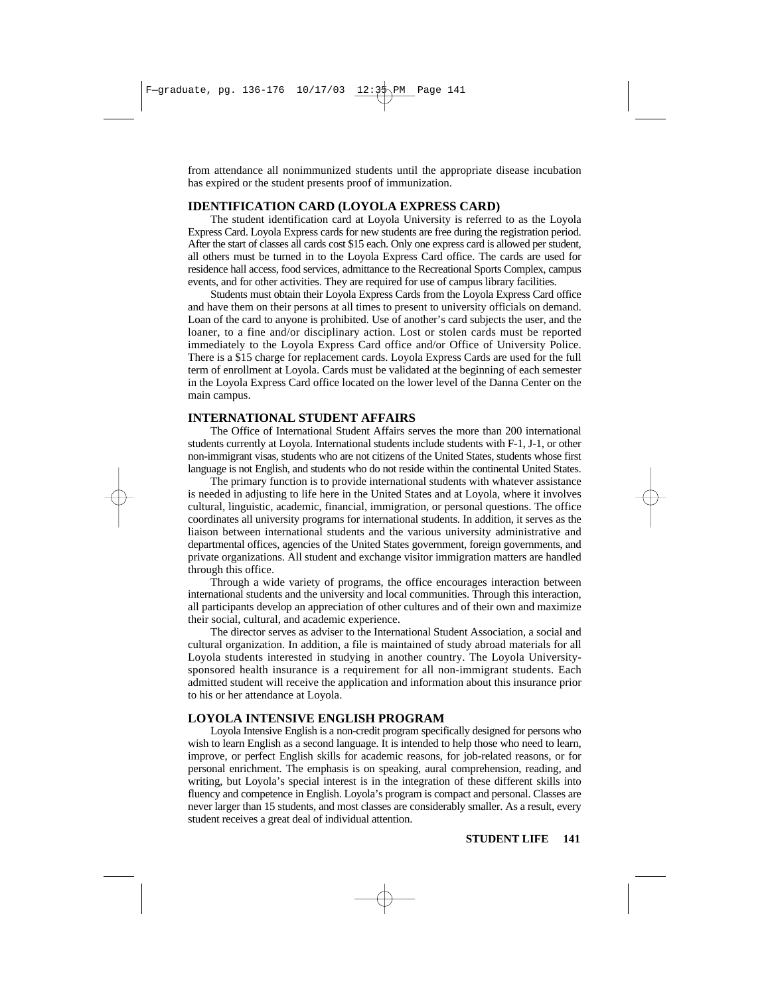from attendance all nonimmunized students until the appropriate disease incubation has expired or the student presents proof of immunization.

### **IDENTIFICATION CARD (LOYOLA EXPRESS CARD)**

The student identification card at Loyola University is referred to as the Loyola Express Card. Loyola Express cards for new students are free during the registration period. After the start of classes all cards cost \$15 each. Only one express card is allowed per student, all others must be turned in to the Loyola Express Card office. The cards are used for residence hall access, food services, admittance to the Recreational Sports Complex, campus events, and for other activities. They are required for use of campus library facilities.

Students must obtain their Loyola Express Cards from the Loyola Express Card office and have them on their persons at all times to present to university officials on demand. Loan of the card to anyone is prohibited. Use of another's card subjects the user, and the loaner, to a fine and/or disciplinary action. Lost or stolen cards must be reported immediately to the Loyola Express Card office and/or Office of University Police. There is a \$15 charge for replacement cards. Loyola Express Cards are used for the full term of enrollment at Loyola. Cards must be validated at the beginning of each semester in the Loyola Express Card office located on the lower level of the Danna Center on the main campus.

### **INTERNATIONAL STUDENT AFFAIRS**

The Office of International Student Affairs serves the more than 200 international students currently at Loyola. International students include students with F-1, J-1, or other non-immigrant visas, students who are not citizens of the United States, students whose first language is not English, and students who do not reside within the continental United States.

The primary function is to provide international students with whatever assistance is needed in adjusting to life here in the United States and at Loyola, where it involves cultural, linguistic, academic, financial, immigration, or personal questions. The office coordinates all university programs for international students. In addition, it serves as the liaison between international students and the various university administrative and departmental offices, agencies of the United States government, foreign governments, and private organizations. All student and exchange visitor immigration matters are handled through this office.

Through a wide variety of programs, the office encourages interaction between international students and the university and local communities. Through this interaction, all participants develop an appreciation of other cultures and of their own and maximize their social, cultural, and academic experience.

The director serves as adviser to the International Student Association, a social and cultural organization. In addition, a file is maintained of study abroad materials for all Loyola students interested in studying in another country. The Loyola Universitysponsored health insurance is a requirement for all non-immigrant students. Each admitted student will receive the application and information about this insurance prior to his or her attendance at Loyola.

### **LOYOLA INTENSIVE ENGLISH PROGRAM**

Loyola Intensive English is a non-credit program specifically designed for persons who wish to learn English as a second language. It is intended to help those who need to learn, improve, or perfect English skills for academic reasons, for job-related reasons, or for personal enrichment. The emphasis is on speaking, aural comprehension, reading, and writing, but Loyola's special interest is in the integration of these different skills into fluency and competence in English. Loyola's program is compact and personal. Classes are never larger than 15 students, and most classes are considerably smaller. As a result, every student receives a great deal of individual attention.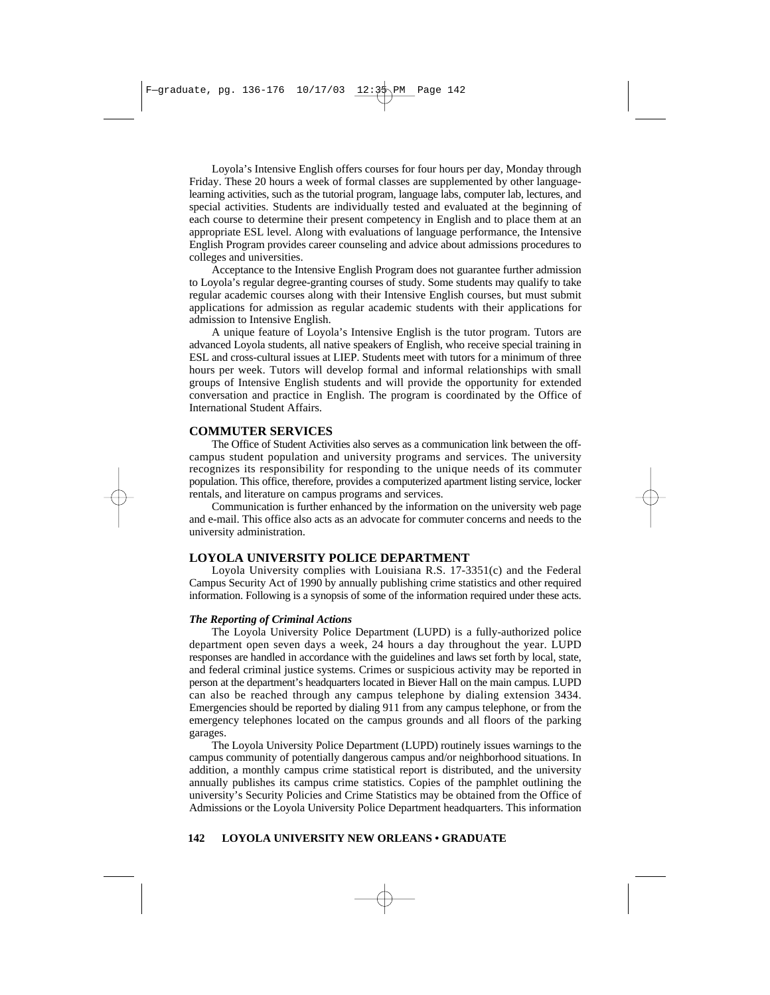Loyola's Intensive English offers courses for four hours per day, Monday through Friday. These 20 hours a week of formal classes are supplemented by other languagelearning activities, such as the tutorial program, language labs, computer lab, lectures, and special activities. Students are individually tested and evaluated at the beginning of each course to determine their present competency in English and to place them at an appropriate ESL level. Along with evaluations of language performance, the Intensive English Program provides career counseling and advice about admissions procedures to colleges and universities.

Acceptance to the Intensive English Program does not guarantee further admission to Loyola's regular degree-granting courses of study. Some students may qualify to take regular academic courses along with their Intensive English courses, but must submit applications for admission as regular academic students with their applications for admission to Intensive English.

A unique feature of Loyola's Intensive English is the tutor program. Tutors are advanced Loyola students, all native speakers of English, who receive special training in ESL and cross-cultural issues at LIEP. Students meet with tutors for a minimum of three hours per week. Tutors will develop formal and informal relationships with small groups of Intensive English students and will provide the opportunity for extended conversation and practice in English. The program is coordinated by the Office of International Student Affairs.

### **COMMUTER SERVICES**

The Office of Student Activities also serves as a communication link between the offcampus student population and university programs and services. The university recognizes its responsibility for responding to the unique needs of its commuter population. This office, therefore, provides a computerized apartment listing service, locker rentals, and literature on campus programs and services.

Communication is further enhanced by the information on the university web page and e-mail. This office also acts as an advocate for commuter concerns and needs to the university administration.

### **LOYOLA UNIVERSITY POLICE DEPARTMENT**

Loyola University complies with Louisiana R.S. 17-3351(c) and the Federal Campus Security Act of 1990 by annually publishing crime statistics and other required information. Following is a synopsis of some of the information required under these acts.

#### *The Reporting of Criminal Actions*

The Loyola University Police Department (LUPD) is a fully-authorized police department open seven days a week, 24 hours a day throughout the year. LUPD responses are handled in accordance with the guidelines and laws set forth by local, state, and federal criminal justice systems. Crimes or suspicious activity may be reported in person at the department's headquarters located in Biever Hall on the main campus. LUPD can also be reached through any campus telephone by dialing extension 3434. Emergencies should be reported by dialing 911 from any campus telephone, or from the emergency telephones located on the campus grounds and all floors of the parking garages.

The Loyola University Police Department (LUPD) routinely issues warnings to the campus community of potentially dangerous campus and/or neighborhood situations. In addition, a monthly campus crime statistical report is distributed, and the university annually publishes its campus crime statistics. Copies of the pamphlet outlining the university's Security Policies and Crime Statistics may be obtained from the Office of Admissions or the Loyola University Police Department headquarters. This information

#### **142 LOYOLA UNIVERSITY NEW ORLEANS • GRADUATE**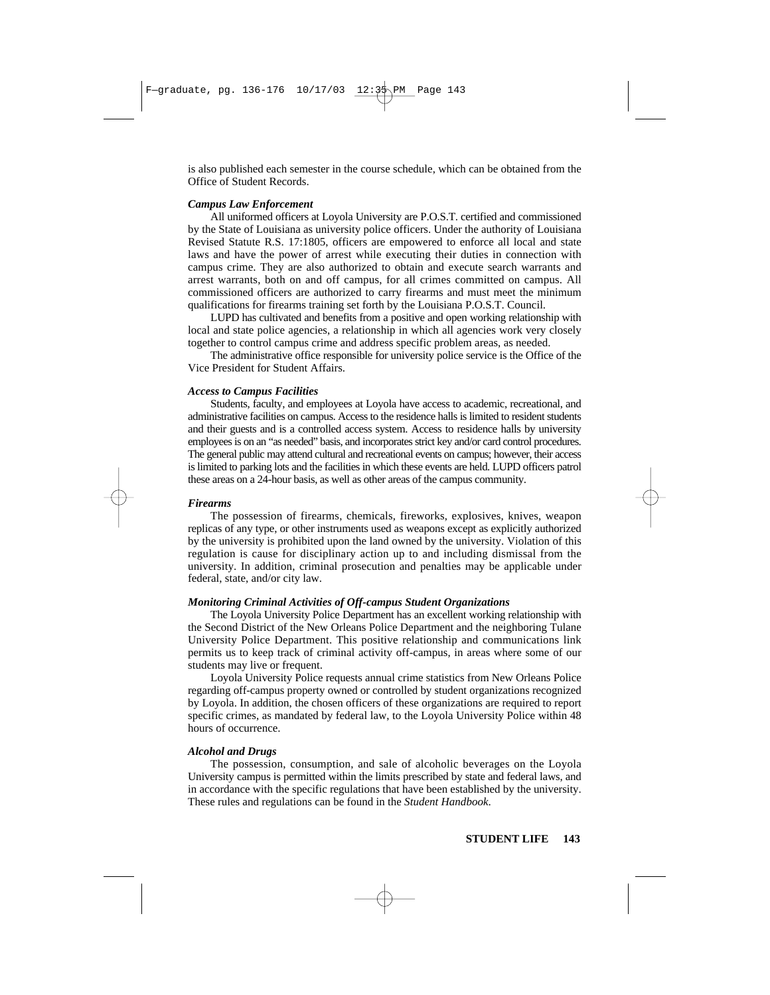is also published each semester in the course schedule, which can be obtained from the Office of Student Records.

#### *Campus Law Enforcement*

All uniformed officers at Loyola University are P.O.S.T. certified and commissioned by the State of Louisiana as university police officers. Under the authority of Louisiana Revised Statute R.S. 17:1805, officers are empowered to enforce all local and state laws and have the power of arrest while executing their duties in connection with campus crime. They are also authorized to obtain and execute search warrants and arrest warrants, both on and off campus, for all crimes committed on campus. All commissioned officers are authorized to carry firearms and must meet the minimum qualifications for firearms training set forth by the Louisiana P.O.S.T. Council.

LUPD has cultivated and benefits from a positive and open working relationship with local and state police agencies, a relationship in which all agencies work very closely together to control campus crime and address specific problem areas, as needed.

The administrative office responsible for university police service is the Office of the Vice President for Student Affairs.

#### *Access to Campus Facilities*

Students, faculty, and employees at Loyola have access to academic, recreational, and administrative facilities on campus. Access to the residence halls is limited to resident students and their guests and is a controlled access system. Access to residence halls by university employees is on an "as needed" basis, and incorporates strict key and/or card control procedures. The general public may attend cultural and recreational events on campus; however, their access is limited to parking lots and the facilities in which these events are held. LUPD officers patrol these areas on a 24-hour basis, as well as other areas of the campus community.

#### *Firearms*

The possession of firearms, chemicals, fireworks, explosives, knives, weapon replicas of any type, or other instruments used as weapons except as explicitly authorized by the university is prohibited upon the land owned by the university. Violation of this regulation is cause for disciplinary action up to and including dismissal from the university. In addition, criminal prosecution and penalties may be applicable under federal, state, and/or city law.

#### *Monitoring Criminal Activities of Off-campus Student Organizations*

The Loyola University Police Department has an excellent working relationship with the Second District of the New Orleans Police Department and the neighboring Tulane University Police Department. This positive relationship and communications link permits us to keep track of criminal activity off-campus, in areas where some of our students may live or frequent.

Loyola University Police requests annual crime statistics from New Orleans Police regarding off-campus property owned or controlled by student organizations recognized by Loyola. In addition, the chosen officers of these organizations are required to report specific crimes, as mandated by federal law, to the Loyola University Police within 48 hours of occurrence.

### *Alcohol and Drugs*

The possession, consumption, and sale of alcoholic beverages on the Loyola University campus is permitted within the limits prescribed by state and federal laws, and in accordance with the specific regulations that have been established by the university. These rules and regulations can be found in the *Student Handbook*.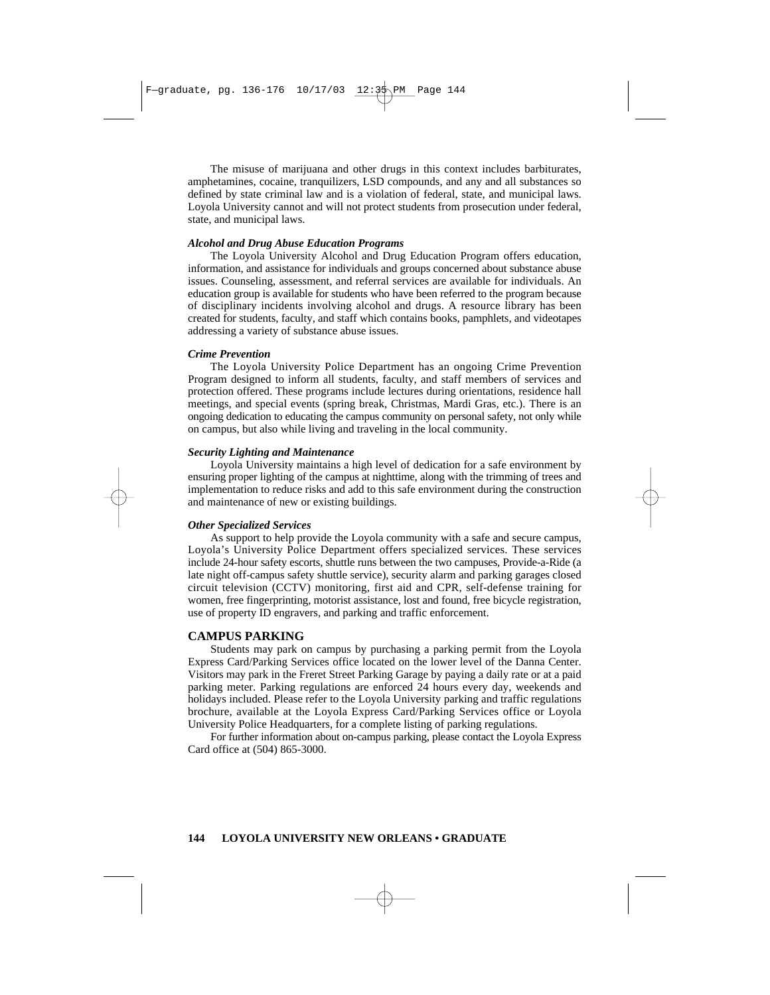The misuse of marijuana and other drugs in this context includes barbiturates, amphetamines, cocaine, tranquilizers, LSD compounds, and any and all substances so defined by state criminal law and is a violation of federal, state, and municipal laws. Loyola University cannot and will not protect students from prosecution under federal, state, and municipal laws.

#### *Alcohol and Drug Abuse Education Programs*

The Loyola University Alcohol and Drug Education Program offers education, information, and assistance for individuals and groups concerned about substance abuse issues. Counseling, assessment, and referral services are available for individuals. An education group is available for students who have been referred to the program because of disciplinary incidents involving alcohol and drugs. A resource library has been created for students, faculty, and staff which contains books, pamphlets, and videotapes addressing a variety of substance abuse issues.

#### *Crime Prevention*

The Loyola University Police Department has an ongoing Crime Prevention Program designed to inform all students, faculty, and staff members of services and protection offered. These programs include lectures during orientations, residence hall meetings, and special events (spring break, Christmas, Mardi Gras, etc.). There is an ongoing dedication to educating the campus community on personal safety, not only while on campus, but also while living and traveling in the local community.

### *Security Lighting and Maintenance*

Loyola University maintains a high level of dedication for a safe environment by ensuring proper lighting of the campus at nighttime, along with the trimming of trees and implementation to reduce risks and add to this safe environment during the construction and maintenance of new or existing buildings.

#### *Other Specialized Services*

As support to help provide the Loyola community with a safe and secure campus, Loyola's University Police Department offers specialized services. These services include 24-hour safety escorts, shuttle runs between the two campuses, Provide-a-Ride (a late night off-campus safety shuttle service), security alarm and parking garages closed circuit television (CCTV) monitoring, first aid and CPR, self-defense training for women, free fingerprinting, motorist assistance, lost and found, free bicycle registration, use of property ID engravers, and parking and traffic enforcement.

### **CAMPUS PARKING**

Students may park on campus by purchasing a parking permit from the Loyola Express Card/Parking Services office located on the lower level of the Danna Center. Visitors may park in the Freret Street Parking Garage by paying a daily rate or at a paid parking meter. Parking regulations are enforced 24 hours every day, weekends and holidays included. Please refer to the Loyola University parking and traffic regulations brochure, available at the Loyola Express Card/Parking Services office or Loyola University Police Headquarters, for a complete listing of parking regulations.

For further information about on-campus parking, please contact the Loyola Express Card office at (504) 865-3000.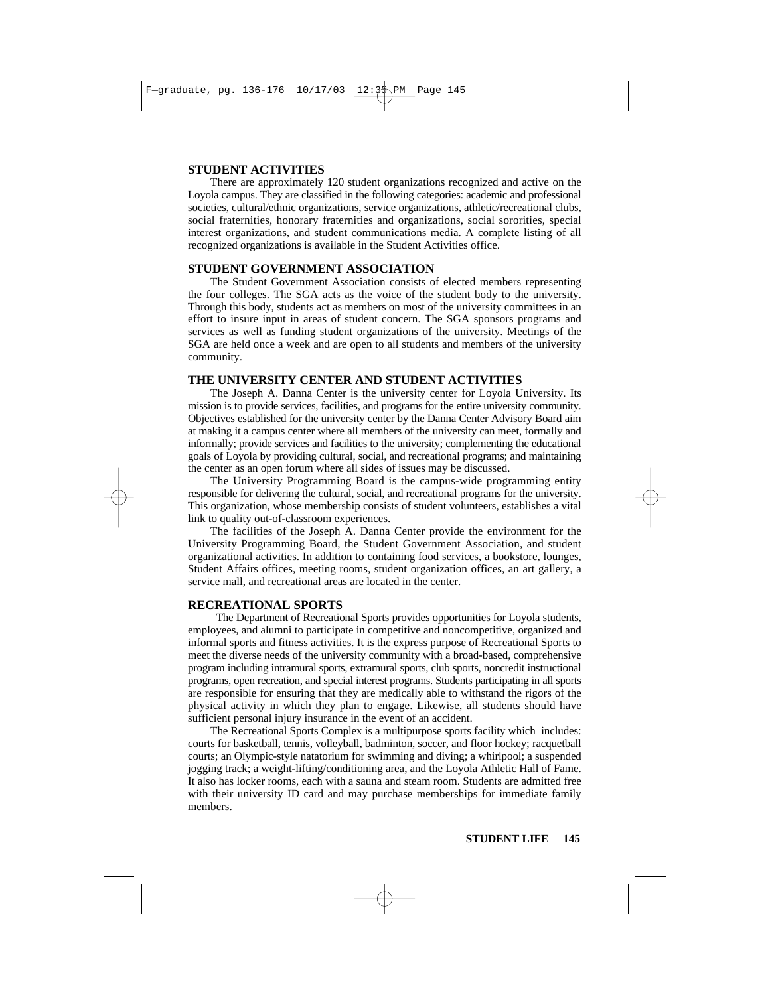### **STUDENT ACTIVITIES**

There are approximately 120 student organizations recognized and active on the Loyola campus. They are classified in the following categories: academic and professional societies, cultural/ethnic organizations, service organizations, athletic/recreational clubs, social fraternities, honorary fraternities and organizations, social sororities, special interest organizations, and student communications media. A complete listing of all recognized organizations is available in the Student Activities office.

### **STUDENT GOVERNMENT ASSOCIATION**

The Student Government Association consists of elected members representing the four colleges. The SGA acts as the voice of the student body to the university. Through this body, students act as members on most of the university committees in an effort to insure input in areas of student concern. The SGA sponsors programs and services as well as funding student organizations of the university. Meetings of the SGA are held once a week and are open to all students and members of the university community.

### **THE UNIVERSITY CENTER AND STUDENT ACTIVITIES**

The Joseph A. Danna Center is the university center for Loyola University. Its mission is to provide services, facilities, and programs for the entire university community. Objectives established for the university center by the Danna Center Advisory Board aim at making it a campus center where all members of the university can meet, formally and informally; provide services and facilities to the university; complementing the educational goals of Loyola by providing cultural, social, and recreational programs; and maintaining the center as an open forum where all sides of issues may be discussed.

The University Programming Board is the campus-wide programming entity responsible for delivering the cultural, social, and recreational programs for the university. This organization, whose membership consists of student volunteers, establishes a vital link to quality out-of-classroom experiences.

The facilities of the Joseph A. Danna Center provide the environment for the University Programming Board, the Student Government Association, and student organizational activities. In addition to containing food services, a bookstore, lounges, Student Affairs offices, meeting rooms, student organization offices, an art gallery, a service mall, and recreational areas are located in the center.

### **RECREATIONAL SPORTS**

The Department of Recreational Sports provides opportunities for Loyola students, employees, and alumni to participate in competitive and noncompetitive, organized and informal sports and fitness activities. It is the express purpose of Recreational Sports to meet the diverse needs of the university community with a broad-based, comprehensive program including intramural sports, extramural sports, club sports, noncredit instructional programs, open recreation, and special interest programs. Students participating in all sports are responsible for ensuring that they are medically able to withstand the rigors of the physical activity in which they plan to engage. Likewise, all students should have sufficient personal injury insurance in the event of an accident.

The Recreational Sports Complex is a multipurpose sports facility which includes: courts for basketball, tennis, volleyball, badminton, soccer, and floor hockey; racquetball courts; an Olympic-style natatorium for swimming and diving; a whirlpool; a suspended jogging track; a weight-lifting/conditioning area, and the Loyola Athletic Hall of Fame. It also has locker rooms, each with a sauna and steam room. Students are admitted free with their university ID card and may purchase memberships for immediate family members.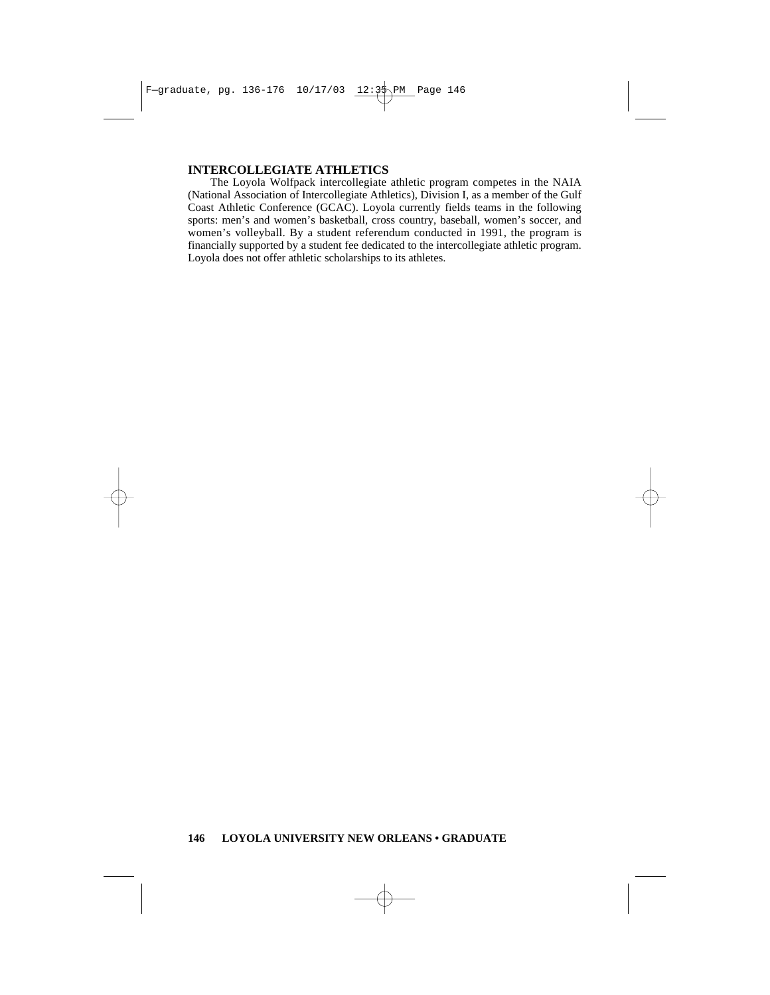### **INTERCOLLEGIATE ATHLETICS**

The Loyola Wolfpack intercollegiate athletic program competes in the NAIA (National Association of Intercollegiate Athletics), Division I, as a member of the Gulf Coast Athletic Conference (GCAC). Loyola currently fields teams in the following sports: men's and women's basketball, cross country, baseball, women's soccer, and women's volleyball. By a student referendum conducted in 1991, the program is financially supported by a student fee dedicated to the intercollegiate athletic program. Loyola does not offer athletic scholarships to its athletes.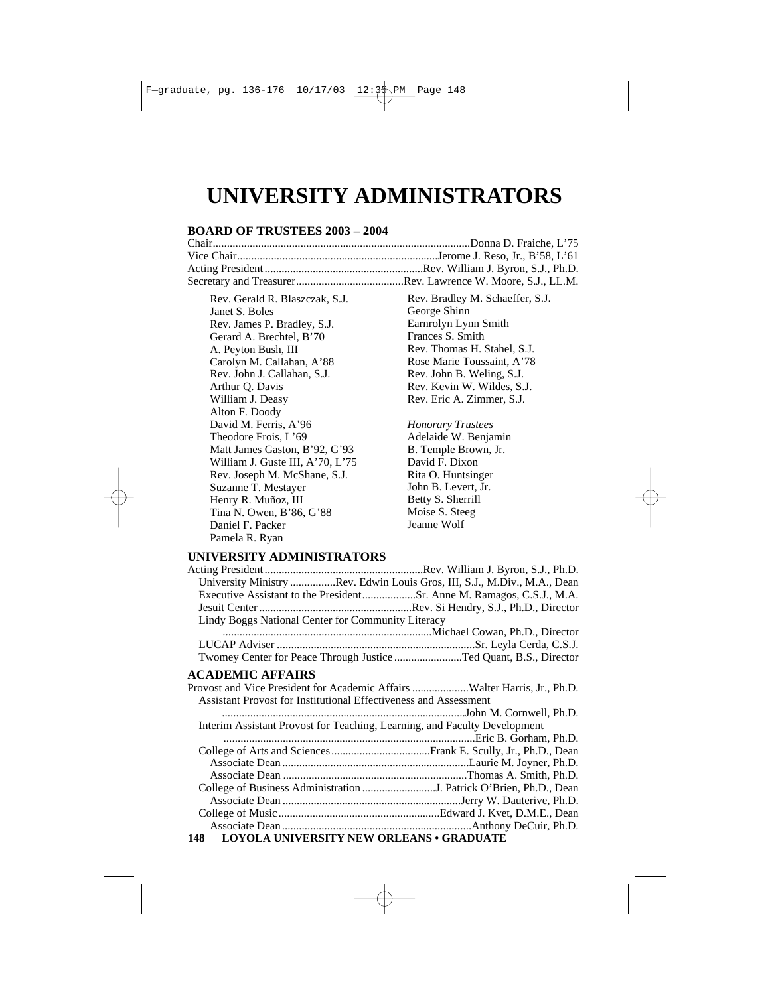# **UNIVERSITY ADMINISTRATORS**

### **BOARD OF TRUSTEES 2003 – 2004**

| Rev. Gerald R. Blaszczak, S.J.   |
|----------------------------------|
| Janet S. Boles                   |
| Rev. James P. Bradley, S.J.      |
| Gerard A. Brechtel, B'70         |
| A. Peyton Bush, III              |
| Carolyn M. Callahan, A'88        |
| Rev. John J. Callahan, S.J.      |
| Arthur Q. Davis                  |
| William J. Deasy                 |
| Alton F. Doody                   |
| David M. Ferris, A'96            |
| Theodore Frois, L'69             |
| Matt James Gaston, B'92, G'93    |
| William J. Guste III, A'70, L'75 |
| Rev. Joseph M. McShane, S.J.     |
| Suzanne T. Mestayer              |
| Henry R. Muñoz, III              |
| Tina N. Owen, B'86, G'88         |
| Daniel F. Packer                 |
| Pamela R. Ryan                   |

Rev. Bradley M. Schaeffer, S.J. George Shinn Earnrolyn Lynn Smith Frances S. Smith Rev. Thomas H. Stahel, S.J. Rose Marie Toussaint, A'78 Rev. John B. Weling, S.J. Rev. Kevin W. Wildes, S.J. Rev. Eric A. Zimmer, S.J.

*Honorary Trustees* Adelaide W. Benjamin B. Temple Brown, Jr. David F. Dixon Rita O. Huntsinger John B. Levert, Jr. Betty S. Sherrill Moise S. Steeg Jeanne Wolf

### **UNIVERSITY ADMINISTRATORS**

| University Ministry Rev. Edwin Louis Gros, III, S.J., M.Div., M.A., Dean  |  |
|---------------------------------------------------------------------------|--|
|                                                                           |  |
|                                                                           |  |
| Lindy Boggs National Center for Community Literacy                        |  |
|                                                                           |  |
|                                                                           |  |
| Twomey Center for Peace Through Justice Ted Quant, B.S., Director         |  |
| ACADEMIC AFFAIRS                                                          |  |
| Provost and Vice President for Academic Affairs Walter Harris, Jr., Ph.D. |  |
| Assistant Provost for Institutional Effectiveness and Assessment          |  |
|                                                                           |  |
| Interim Assistant Provost for Teaching, Learning, and Faculty Development |  |
|                                                                           |  |
|                                                                           |  |
|                                                                           |  |
|                                                                           |  |
|                                                                           |  |
|                                                                           |  |
|                                                                           |  |
|                                                                           |  |
| 148 LOYOLA UNIVERSITY NEW ORLEANS . GRADUATE                              |  |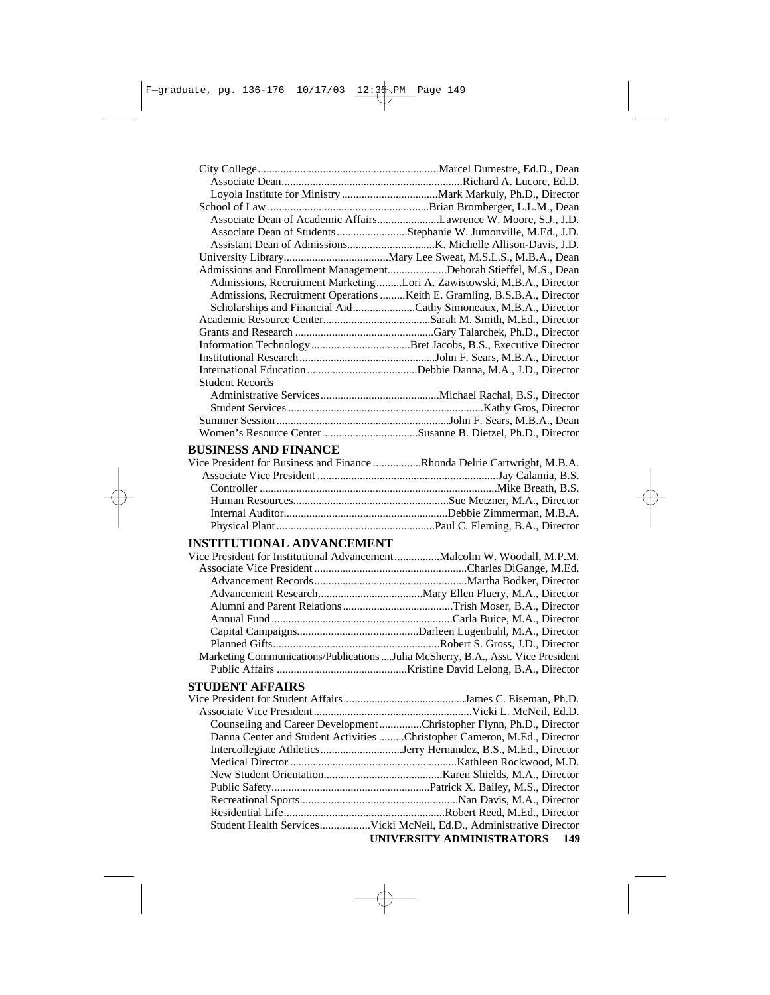|                                                                                   | Associate Dean of Academic AffairsLawrence W. Moore, S.J., J.D.          |
|-----------------------------------------------------------------------------------|--------------------------------------------------------------------------|
|                                                                                   | Associate Dean of Students Stephanie W. Jumonville, M.Ed., J.D.          |
|                                                                                   |                                                                          |
|                                                                                   |                                                                          |
| Admissions and Enrollment ManagementDeborah Stieffel, M.S., Dean                  |                                                                          |
|                                                                                   | Admissions, Recruitment MarketingLori A. Zawistowski, M.B.A., Director   |
|                                                                                   | Admissions, Recruitment Operations Keith E. Gramling, B.S.B.A., Director |
|                                                                                   | Scholarships and Financial AidCathy Simoneaux, M.B.A., Director          |
|                                                                                   |                                                                          |
|                                                                                   |                                                                          |
|                                                                                   |                                                                          |
|                                                                                   |                                                                          |
|                                                                                   |                                                                          |
| <b>Student Records</b>                                                            |                                                                          |
|                                                                                   |                                                                          |
|                                                                                   |                                                                          |
|                                                                                   |                                                                          |
|                                                                                   |                                                                          |
|                                                                                   |                                                                          |
| <b>BUSINESS AND FINANCE</b>                                                       |                                                                          |
| Vice President for Business and Finance Rhonda Delrie Cartwright, M.B.A.          |                                                                          |
|                                                                                   |                                                                          |
|                                                                                   |                                                                          |
|                                                                                   |                                                                          |
|                                                                                   |                                                                          |
|                                                                                   |                                                                          |
| <b>INSTITUTIONAL ADVANCEMENT</b>                                                  |                                                                          |
| Vice President for Institutional AdvancementMalcolm W. Woodall, M.P.M.            |                                                                          |
|                                                                                   |                                                                          |
|                                                                                   |                                                                          |
|                                                                                   |                                                                          |
|                                                                                   |                                                                          |
|                                                                                   |                                                                          |
|                                                                                   |                                                                          |
|                                                                                   |                                                                          |
| Marketing Communications/Publications  Julia McSherry, B.A., Asst. Vice President |                                                                          |
|                                                                                   |                                                                          |
| <b>STUDENT AFFAIRS</b>                                                            |                                                                          |
|                                                                                   |                                                                          |
|                                                                                   |                                                                          |
|                                                                                   | Counseling and Career DevelopmentChristopher Flynn, Ph.D., Director      |
|                                                                                   | Danna Center and Student Activities Christopher Cameron, M.Ed., Director |
|                                                                                   |                                                                          |
|                                                                                   |                                                                          |
|                                                                                   |                                                                          |
|                                                                                   |                                                                          |
|                                                                                   |                                                                          |
|                                                                                   |                                                                          |
|                                                                                   | Student Health ServicesVicki McNeil, Ed.D., Administrative Director      |
|                                                                                   | UNIVERSITY ADMINISTRATORS<br>149                                         |
|                                                                                   |                                                                          |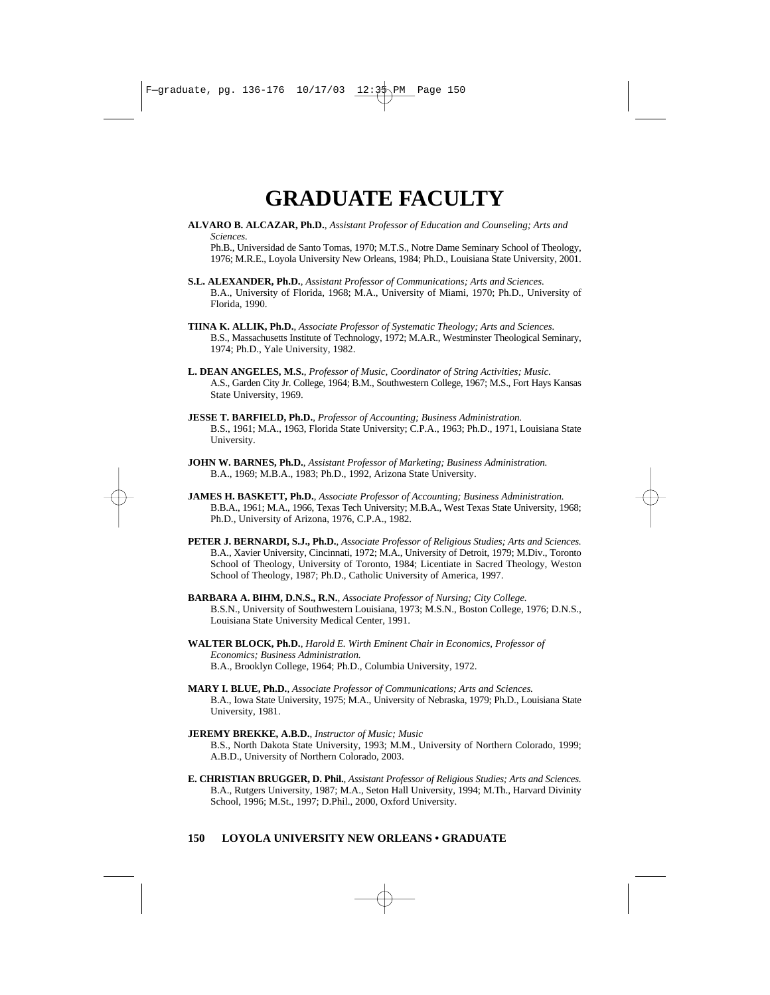# **GRADUATE FACULTY**

- **ALVARO B. ALCAZAR, Ph.D.**, *Assistant Professor of Education and Counseling; Arts and Sciences.* Ph.B., Universidad de Santo Tomas, 1970; M.T.S., Notre Dame Seminary School of Theology,
- **S.L. ALEXANDER, Ph.D.**, *Assistant Professor of Communications; Arts and Sciences.* B.A., University of Florida, 1968; M.A., University of Miami, 1970; Ph.D., University of Florida, 1990.

1976; M.R.E., Loyola University New Orleans, 1984; Ph.D., Louisiana State University, 2001.

- **TIINA K. ALLIK, Ph.D.**, *Associate Professor of Systematic Theology; Arts and Sciences.* B.S., Massachusetts Institute of Technology, 1972; M.A.R., Westminster Theological Seminary, 1974; Ph.D., Yale University, 1982.
- **L. DEAN ANGELES, M.S.**, *Professor of Music, Coordinator of String Activities; Music.* A.S., Garden City Jr. College, 1964; B.M., Southwestern College, 1967; M.S., Fort Hays Kansas State University, 1969.
- **JESSE T. BARFIELD, Ph.D.**, *Professor of Accounting; Business Administration.*  B.S., 1961; M.A., 1963, Florida State University; C.P.A., 1963; Ph.D., 1971, Louisiana State University.
- **JOHN W. BARNES, Ph.D.**, *Assistant Professor of Marketing; Business Administration.* B.A., 1969; M.B.A., 1983; Ph.D., 1992, Arizona State University.
- **JAMES H. BASKETT, Ph.D.**, *Associate Professor of Accounting; Business Administration.*  B.B.A., 1961; M.A., 1966, Texas Tech University; M.B.A., West Texas State University, 1968; Ph.D., University of Arizona, 1976, C.P.A., 1982.
- **PETER J. BERNARDI, S.J., Ph.D.**, *Associate Professor of Religious Studies; Arts and Sciences.* B.A., Xavier University, Cincinnati, 1972; M.A., University of Detroit, 1979; M.Div., Toronto School of Theology, University of Toronto, 1984; Licentiate in Sacred Theology, Weston School of Theology, 1987; Ph.D., Catholic University of America, 1997.
- **BARBARA A. BIHM, D.N.S., R.N.***, Associate Professor of Nursing; City College.* B.S.N., University of Southwestern Louisiana, 1973; M.S.N., Boston College, 1976; D.N.S., Louisiana State University Medical Center, 1991.
- **WALTER BLOCK, Ph.D.***, Harold E. Wirth Eminent Chair in Economics, Professor of Economics; Business Administration.* B.A., Brooklyn College, 1964; Ph.D., Columbia University, 1972.
- **MARY I. BLUE, Ph.D.**, *Associate Professor of Communications; Arts and Sciences.* B.A., Iowa State University, 1975; M.A., University of Nebraska, 1979; Ph.D., Louisiana State University, 1981.
- **JEREMY BREKKE, A.B.D.**, *Instructor of Music; Music* B.S., North Dakota State University, 1993; M.M., University of Northern Colorado, 1999; A.B.D., University of Northern Colorado, 2003.
- **E. CHRISTIAN BRUGGER, D. Phil.**, *Assistant Professor of Religious Studies; Arts and Sciences.* B.A., Rutgers University, 1987; M.A., Seton Hall University, 1994; M.Th., Harvard Divinity School, 1996; M.St., 1997; D.Phil., 2000, Oxford University.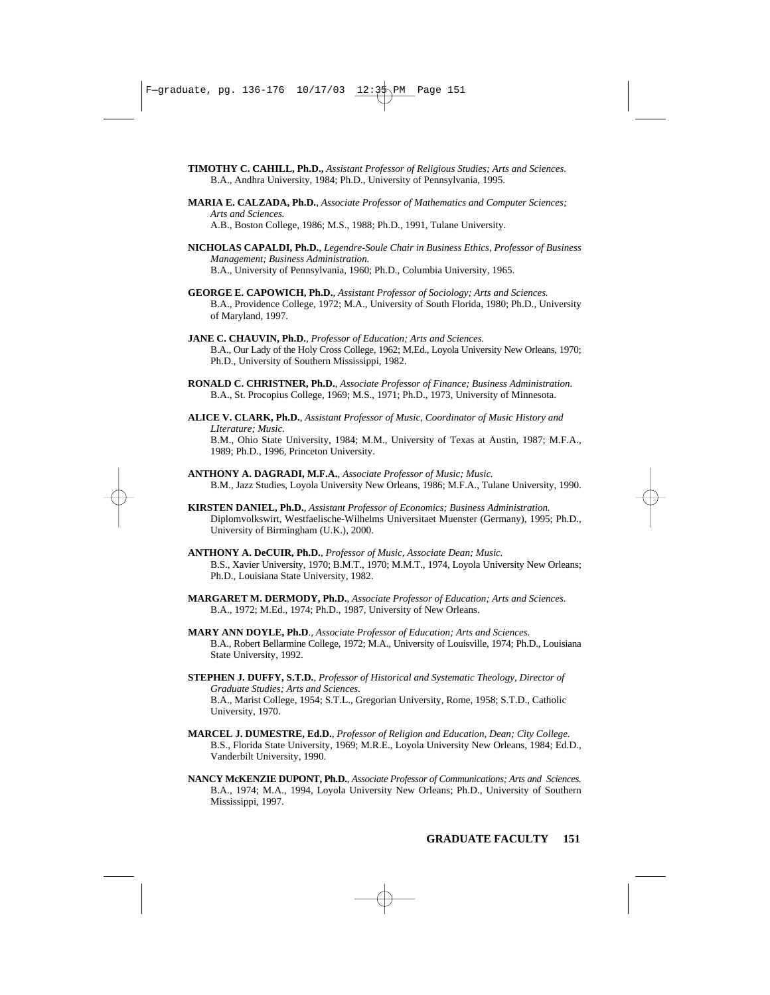**TIMOTHY C. CAHILL, Ph.D.,** *Assistant Professor of Religious Studies; Arts and Sciences.* B.A., Andhra University, 1984; Ph.D., University of Pennsylvania, 1995.

- **MARIA E. CALZADA, Ph.D.**, *Associate Professor of Mathematics and Computer Sciences; Arts and Sciences.* A.B., Boston College, 1986; M.S., 1988; Ph.D., 1991, Tulane University.
- **NICHOLAS CAPALDI, Ph.D.**, *Legendre-Soule Chair in Business Ethics, Professor of Business Management; Business Administration.* B.A., University of Pennsylvania, 1960; Ph.D., Columbia University, 1965.
- **GEORGE E. CAPOWICH, Ph.D.**, *Assistant Professor of Sociology; Arts and Sciences.* B.A., Providence College, 1972; M.A., University of South Florida, 1980; Ph.D., University of Maryland, 1997.
- **JANE C. CHAUVIN, Ph.D.**, *Professor of Education; Arts and Sciences.* B.A., Our Lady of the Holy Cross College, 1962; M.Ed., Loyola University New Orleans, 1970; Ph.D., University of Southern Mississippi, 1982.
- **RONALD C. CHRISTNER, Ph.D.**, *Associate Professor of Finance; Business Administration.* B.A., St. Procopius College, 1969; M.S., 1971; Ph.D., 1973, University of Minnesota.
- **ALICE V. CLARK, Ph.D.**, *Assistant Professor of Music, Coordinator of Music History and LIterature; Music.* B.M., Ohio State University, 1984; M.M., University of Texas at Austin, 1987; M.F.A., 1989; Ph.D., 1996, Princeton University.
- **ANTHONY A. DAGRADI, M.F.A.**, *Associate Professor of Music; Music.* B.M., Jazz Studies, Loyola University New Orleans, 1986; M.F.A., Tulane University, 1990.
- **KIRSTEN DANIEL, Ph.D.***, Assistant Professor of Economics; Business Administration.* Diplomvolkswirt, Westfaelische-Wilhelms Universitaet Muenster (Germany), 1995; Ph.D., University of Birmingham (U.K.), 2000.
- **ANTHONY A. DeCUIR, Ph.D.**, *Professor of Music, Associate Dean; Music.*  B.S., Xavier University, 1970; B.M.T., 1970; M.M.T., 1974, Loyola University New Orleans; Ph.D., Louisiana State University, 1982.
- **MARGARET M. DERMODY, Ph.D.**, *Associate Professor of Education; Arts and Sciences.* B.A., 1972; M.Ed., 1974; Ph.D., 1987, University of New Orleans.
- **MARY ANN DOYLE, Ph.D**., *Associate Professor of Education; Arts and Sciences.* B.A., Robert Bellarmine College, 1972; M.A., University of Louisville, 1974; Ph.D., Louisiana State University, 1992.
- **STEPHEN J. DUFFY, S.T.D.**, *Professor of Historical and Systematic Theology, Director of Graduate Studies; Arts and Sciences.* B.A., Marist College, 1954; S.T.L., Gregorian University, Rome, 1958; S.T.D., Catholic University, 1970.
- **MARCEL J. DUMESTRE, Ed.D.**, *Professor of Religion and Education, Dean; City College.* B.S., Florida State University, 1969; M.R.E., Loyola University New Orleans, 1984; Ed.D., Vanderbilt University, 1990.
- **NANCY McKENZIE DUPONT, Ph.D.**, *Associate Professor of Communications; Arts and Sciences.* B.A., 1974; M.A., 1994, Loyola University New Orleans; Ph.D., University of Southern Mississippi, 1997.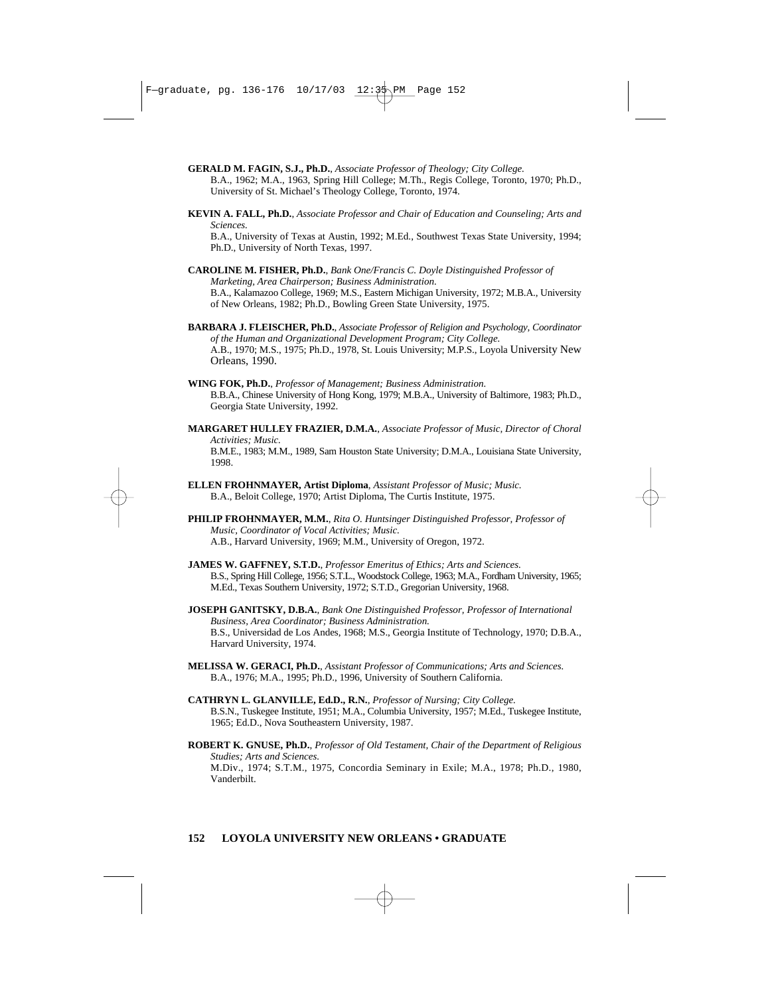**GERALD M. FAGIN, S.J., Ph.D.**, *Associate Professor of Theology; City College.*

B.A., 1962; M.A., 1963, Spring Hill College; M.Th., Regis College, Toronto, 1970; Ph.D., University of St. Michael's Theology College, Toronto, 1974.

**KEVIN A. FALL, Ph.D.**, *Associate Professor and Chair of Education and Counseling; Arts and Sciences.*

B.A., University of Texas at Austin, 1992; M.Ed., Southwest Texas State University, 1994; Ph.D., University of North Texas, 1997.

- **CAROLINE M. FISHER, Ph.D.**, *Bank One/Francis C. Doyle Distinguished Professor of Marketing, Area Chairperson; Business Administration.*  B.A., Kalamazoo College, 1969; M.S., Eastern Michigan University, 1972; M.B.A., University of New Orleans, 1982; Ph.D., Bowling Green State University, 1975.
- **BARBARA J. FLEISCHER, Ph.D.**, *Associate Professor of Religion and Psychology, Coordinator of the Human and Organizational Development Program; City College.* A.B., 1970; M.S., 1975; Ph.D., 1978, St. Louis University; M.P.S., Loyola University New Orleans, 1990.
- **WING FOK, Ph.D.**, *Professor of Management; Business Administration.*  B.B.A., Chinese University of Hong Kong, 1979; M.B.A., University of Baltimore, 1983; Ph.D., Georgia State University, 1992.
- **MARGARET HULLEY FRAZIER, D.M.A.**, *Associate Professor of Music, Director of Choral Activities; Music.*

B.M.E., 1983; M.M., 1989, Sam Houston State University; D.M.A., Louisiana State University, 1998.

- **ELLEN FROHNMAYER, Artist Diploma**, *Assistant Professor of Music; Music.* B.A., Beloit College, 1970; Artist Diploma, The Curtis Institute, 1975.
- **PHILIP FROHNMAYER, M.M.**, *Rita O. Huntsinger Distinguished Professor, Professor of Music, Coordinator of Vocal Activities; Music.* A.B., Harvard University, 1969; M.M., University of Oregon, 1972.
- **JAMES W. GAFFNEY, S.T.D.**, *Professor Emeritus of Ethics; Arts and Sciences.* B.S., Spring Hill College, 1956; S.T.L., Woodstock College, 1963; M.A., Fordham University, 1965; M.Ed., Texas Southern University, 1972; S.T.D., Gregorian University, 1968.
- **JOSEPH GANITSKY, D.B.A.**, *Bank One Distinguished Professor, Professor of International Business, Area Coordinator; Business Administration.*  B.S., Universidad de Los Andes, 1968; M.S., Georgia Institute of Technology, 1970; D.B.A., Harvard University, 1974.
- **MELISSA W. GERACI, Ph.D.**, *Assistant Professor of Communications; Arts and Sciences.* B.A., 1976; M.A., 1995; Ph.D., 1996, University of Southern California.
- **CATHRYN L. GLANVILLE, Ed.D., R.N.***, Professor of Nursing; City College.* B.S.N., Tuskegee Institute, 1951; M.A., Columbia University, 1957; M.Ed., Tuskegee Institute, 1965; Ed.D., Nova Southeastern University, 1987.
- **ROBERT K. GNUSE, Ph.D.**, *Professor of Old Testament, Chair of the Department of Religious Studies; Arts and Sciences.* M.Div., 1974; S.T.M., 1975, Concordia Seminary in Exile; M.A., 1978; Ph.D., 1980, Vanderbilt.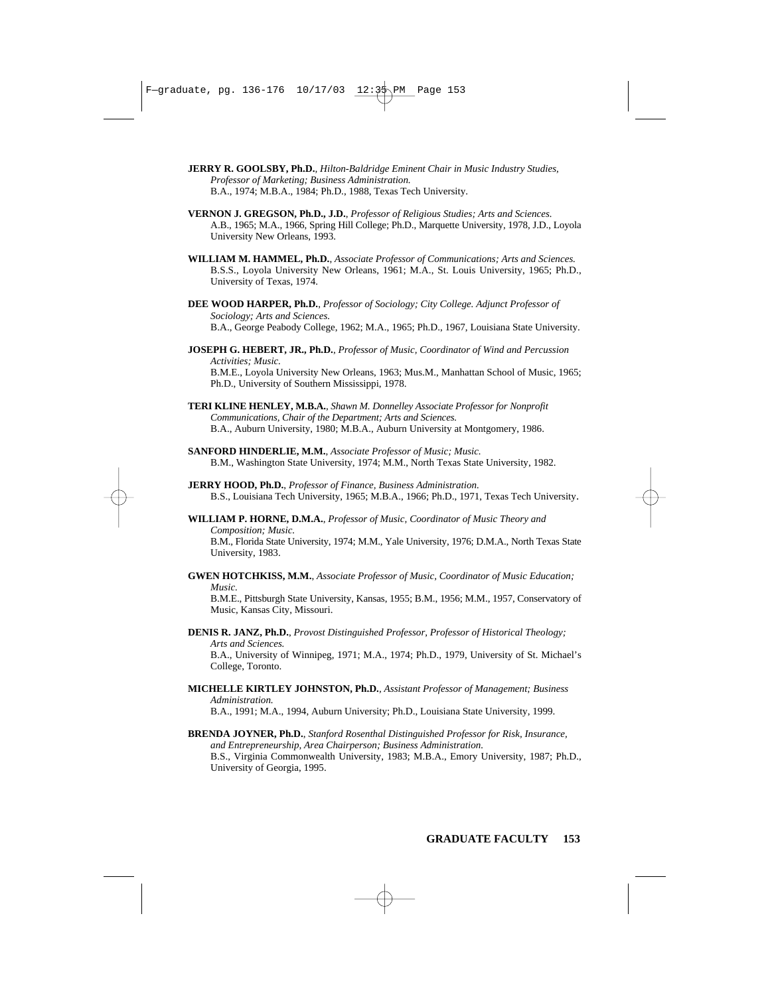- **JERRY R. GOOLSBY, Ph.D.***, Hilton-Baldridge Eminent Chair in Music Industry Studies, Professor of Marketing; Business Administration.* B.A., 1974; M.B.A., 1984; Ph.D., 1988, Texas Tech University.
- **VERNON J. GREGSON, Ph.D., J.D.**, *Professor of Religious Studies; Arts and Sciences.* A.B., 1965; M.A., 1966, Spring Hill College; Ph.D., Marquette University, 1978, J.D., Loyola University New Orleans, 1993.
- **WILLIAM M. HAMMEL, Ph.D.**, *Associate Professor of Communications; Arts and Sciences.* B.S.S., Loyola University New Orleans, 1961; M.A., St. Louis University, 1965; Ph.D., University of Texas, 1974.
- **DEE WOOD HARPER, Ph.D.**, *Professor of Sociology; City College. Adjunct Professor of Sociology; Arts and Sciences.* B.A., George Peabody College, 1962; M.A., 1965; Ph.D., 1967, Louisiana State University.
- **JOSEPH G. HEBERT, JR., Ph.D.**, *Professor of Music, Coordinator of Wind and Percussion Activities; Music.* B.M.E., Loyola University New Orleans, 1963; Mus.M., Manhattan School of Music, 1965; Ph.D., University of Southern Mississippi, 1978.
- **TERI KLINE HENLEY, M.B.A.**, *Shawn M. Donnelley Associate Professor for Nonprofit Communications, Chair of the Department; Arts and Sciences.* B.A., Auburn University, 1980; M.B.A., Auburn University at Montgomery, 1986.
- **SANFORD HINDERLIE, M.M.**, *Associate Professor of Music; Music.* B.M., Washington State University, 1974; M.M., North Texas State University, 1982.
- **JERRY HOOD, Ph.D.**, *Professor of Finance, Business Administration.*  B.S., Louisiana Tech University, 1965; M.B.A., 1966; Ph.D., 1971, Texas Tech University.
- **WILLIAM P. HORNE, D.M.A.**, *Professor of Music, Coordinator of Music Theory and Composition; Music.*

B.M., Florida State University, 1974; M.M., Yale University, 1976; D.M.A., North Texas State University, 1983.

**GWEN HOTCHKISS, M.M.**, *Associate Professor of Music, Coordinator of Music Education; Music.*

B.M.E., Pittsburgh State University, Kansas, 1955; B.M., 1956; M.M., 1957, Conservatory of Music, Kansas City, Missouri.

- **DENIS R. JANZ, Ph.D.**, *Provost Distinguished Professor, Professor of Historical Theology; Arts and Sciences.*  B.A., University of Winnipeg, 1971; M.A., 1974; Ph.D., 1979, University of St. Michael's College, Toronto.
- **MICHELLE KIRTLEY JOHNSTON, Ph.D.***, Assistant Professor of Management; Business Administration.* B.A., 1991; M.A., 1994, Auburn University; Ph.D., Louisiana State University, 1999.
- **BRENDA JOYNER, Ph.D.**, *Stanford Rosenthal Distinguished Professor for Risk, Insurance, and Entrepreneurship, Area Chairperson; Business Administration.* B.S., Virginia Commonwealth University, 1983; M.B.A., Emory University, 1987; Ph.D., University of Georgia, 1995.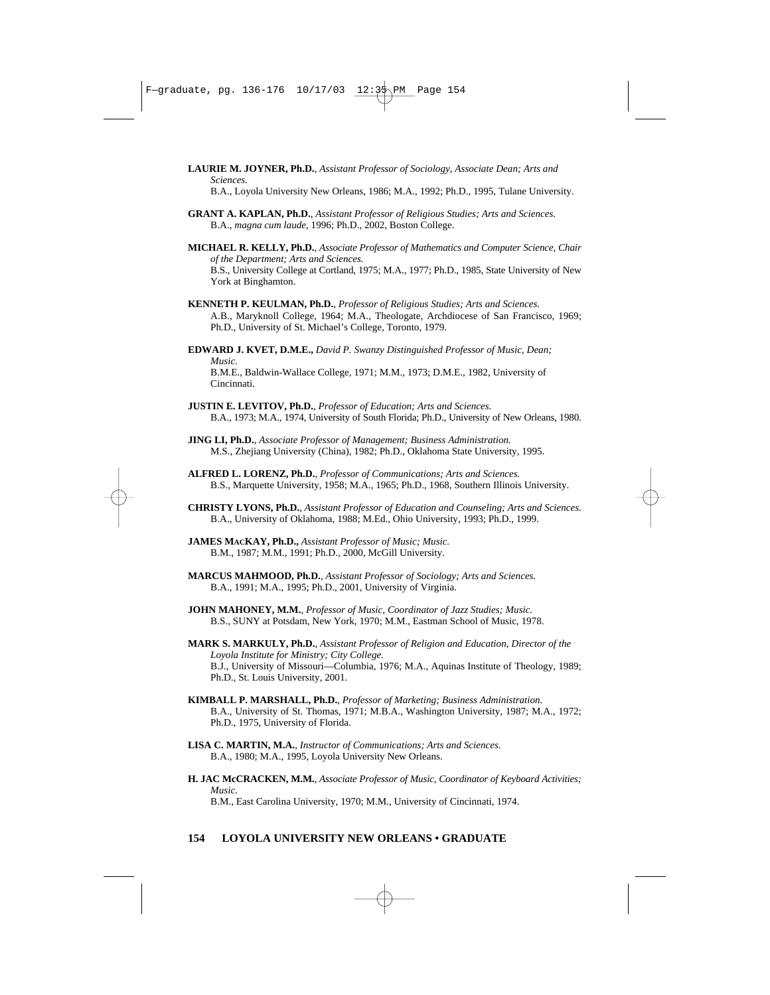- **LAURIE M. JOYNER, Ph.D.**, *Assistant Professor of Sociology, Associate Dean; Arts and Sciences.* B.A., Loyola University New Orleans, 1986; M.A., 1992; Ph.D., 1995, Tulane University.
- **GRANT A. KAPLAN, Ph.D.**, *Assistant Professor of Religious Studies; Arts and Sciences.* B.A., *magna cum laude*, 1996; Ph.D., 2002, Boston College.
- **MICHAEL R. KELLY, Ph.D.**, *Associate Professor of Mathematics and Computer Science, Chair of the Department; Arts and Sciences.* B.S., University College at Cortland, 1975; M.A., 1977; Ph.D., 1985, State University of New York at Binghamton.
- **KENNETH P. KEULMAN, Ph.D.**, *Professor of Religious Studies; Arts and Sciences.* A.B., Maryknoll College, 1964; M.A., Theologate, Archdiocese of San Francisco, 1969; Ph.D., University of St. Michael's College, Toronto, 1979.
- **EDWARD J. KVET, D.M.E.,** *David P. Swanzy Distinguished Professor of Music, Dean; Music.* B.M.E., Baldwin-Wallace College, 1971; M.M., 1973; D.M.E., 1982, University of Cincinnati.
- **JUSTIN E. LEVITOV, Ph.D.**, *Professor of Education; Arts and Sciences.*  B.A., 1973; M.A., 1974, University of South Florida; Ph.D., University of New Orleans, 1980.
- **JING LI, Ph.D.**, *Associate Professor of Management; Business Administration.* M.S., Zhejiang University (China), 1982; Ph.D., Oklahoma State University, 1995.
- **ALFRED L. LORENZ, Ph.D.**, *Professor of Communications; Arts and Sciences.*  B.S., Marquette University, 1958; M.A., 1965; Ph.D., 1968, Southern Illinois University.
- **CHRISTY LYONS, Ph.D.**, *Assistant Professor of Education and Counseling; Arts and Sciences.* B.A., University of Oklahoma, 1988; M.Ed., Ohio University, 1993; Ph.D., 1999.
- **JAMES MACKAY, Ph.D.,** *Assistant Professor of Music; Music.* B.M., 1987; M.M., 1991; Ph.D., 2000, McGill University.
- **MARCUS MAHMOOD, Ph.D.**, *Assistant Professor of Sociology; Arts and Sciences.* B.A., 1991; M.A., 1995; Ph.D., 2001, University of Virginia.
- **JOHN MAHONEY, M.M.**, *Professor of Music, Coordinator of Jazz Studies; Music.* B.S., SUNY at Potsdam, New York, 1970; M.M., Eastman School of Music, 1978.
- **MARK S. MARKULY, Ph.D.**, *Assistant Professor of Religion and Education, Director of the Loyola Institute for Ministry; City College.* B.J., University of Missouri—Columbia, 1976; M.A., Aquinas Institute of Theology, 1989; Ph.D., St. Louis University, 2001.
- **KIMBALL P. MARSHALL, Ph.D.**, *Professor of Marketing; Business Administration.* B.A., University of St. Thomas, 1971; M.B.A., Washington University, 1987; M.A., 1972; Ph.D., 1975, University of Florida.
- **LISA C. MARTIN, M.A.**, *Instructor of Communications; Arts and Sciences.*  B.A., 1980; M.A., 1995, Loyola University New Orleans.
- **H. JAC McCRACKEN, M.M.**, *Associate Professor of Music, Coordinator of Keyboard Activities; Music.* B.M., East Carolina University, 1970; M.M., University of Cincinnati, 1974.

### **154 LOYOLA UNIVERSITY NEW ORLEANS • GRADUATE**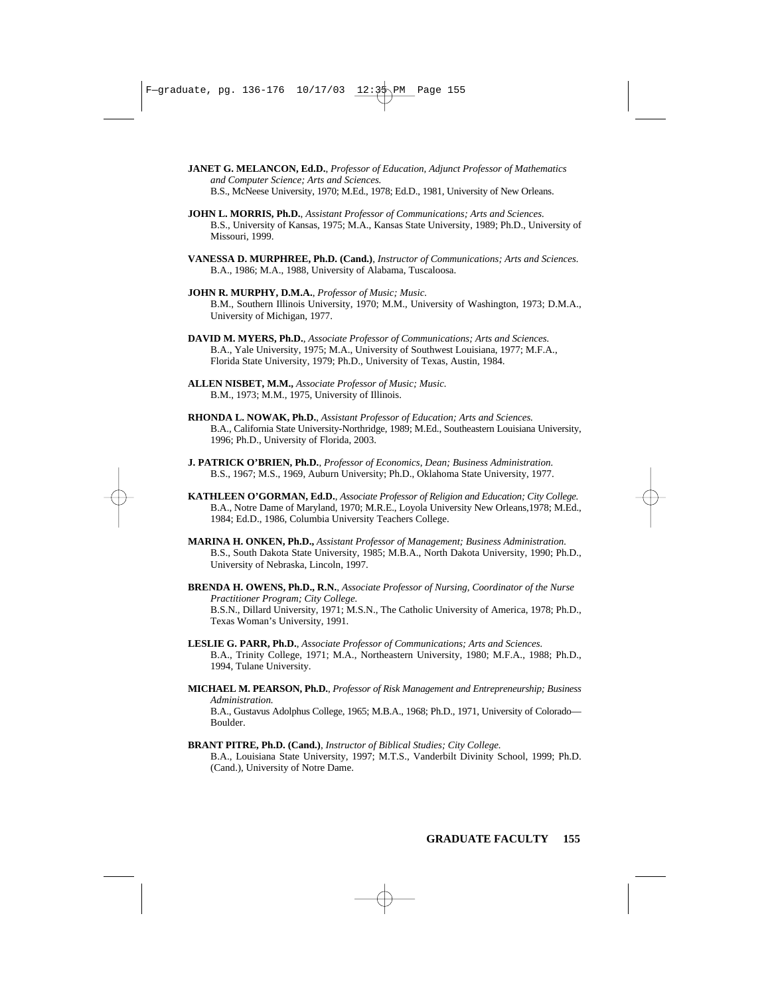- **JANET G. MELANCON, Ed.D.**, *Professor of Education, Adjunct Professor of Mathematics and Computer Science; Arts and Sciences.*  B.S., McNeese University, 1970; M.Ed., 1978; Ed.D., 1981, University of New Orleans.
- **JOHN L. MORRIS, Ph.D.**, *Assistant Professor of Communications; Arts and Sciences.* B.S., University of Kansas, 1975; M.A., Kansas State University, 1989; Ph.D., University of Missouri, 1999.
- **VANESSA D. MURPHREE, Ph.D. (Cand.)**, *Instructor of Communications; Arts and Sciences.*  B.A., 1986; M.A., 1988, University of Alabama, Tuscaloosa.
- **JOHN R. MURPHY, D.M.A.**, *Professor of Music; Music.* B.M., Southern Illinois University, 1970; M.M., University of Washington, 1973; D.M.A., University of Michigan, 1977.
- **DAVID M. MYERS, Ph.D.**, *Associate Professor of Communications; Arts and Sciences.* B.A., Yale University, 1975; M.A., University of Southwest Louisiana, 1977; M.F.A., Florida State University, 1979; Ph.D., University of Texas, Austin, 1984.
- **ALLEN NISBET, M.M.,** *Associate Professor of Music; Music.* B.M., 1973; M.M., 1975, University of Illinois.
- **RHONDA L. NOWAK, Ph.D.**, *Assistant Professor of Education; Arts and Sciences.* B.A., California State University-Northridge, 1989; M.Ed., Southeastern Louisiana University, 1996; Ph.D., University of Florida, 2003.
- **J. PATRICK O'BRIEN, Ph.D.**, *Professor of Economics, Dean; Business Administration.* B.S., 1967; M.S., 1969, Auburn University; Ph.D., Oklahoma State University, 1977.
- **KATHLEEN O'GORMAN, Ed.D.**, *Associate Professor of Religion and Education; City College.* B.A., Notre Dame of Maryland, 1970; M.R.E., Loyola University New Orleans,1978; M.Ed., 1984; Ed.D., 1986, Columbia University Teachers College.
- **MARINA H. ONKEN, Ph.D.,** *Assistant Professor of Management; Business Administration.* B.S., South Dakota State University, 1985; M.B.A., North Dakota University, 1990; Ph.D., University of Nebraska, Lincoln, 1997.
- **BRENDA H. OWENS, Ph.D., R.N.***, Associate Professor of Nursing, Coordinator of the Nurse Practitioner Program; City College.* B.S.N., Dillard University, 1971; M.S.N., The Catholic University of America, 1978; Ph.D., Texas Woman's University, 1991.
- **LESLIE G. PARR, Ph.D.**, *Associate Professor of Communications; Arts and Sciences.* B.A., Trinity College, 1971; M.A., Northeastern University, 1980; M.F.A., 1988; Ph.D., 1994, Tulane University.
- **MICHAEL M. PEARSON, Ph.D.**, *Professor of Risk Management and Entrepreneurship; Business Administration.* B.A., Gustavus Adolphus College, 1965; M.B.A., 1968; Ph.D., 1971, University of Colorado— Boulder.
- **BRANT PITRE, Ph.D. (Cand.)**, *Instructor of Biblical Studies; City College.* B.A., Louisiana State University, 1997; M.T.S., Vanderbilt Divinity School, 1999; Ph.D. (Cand.), University of Notre Dame.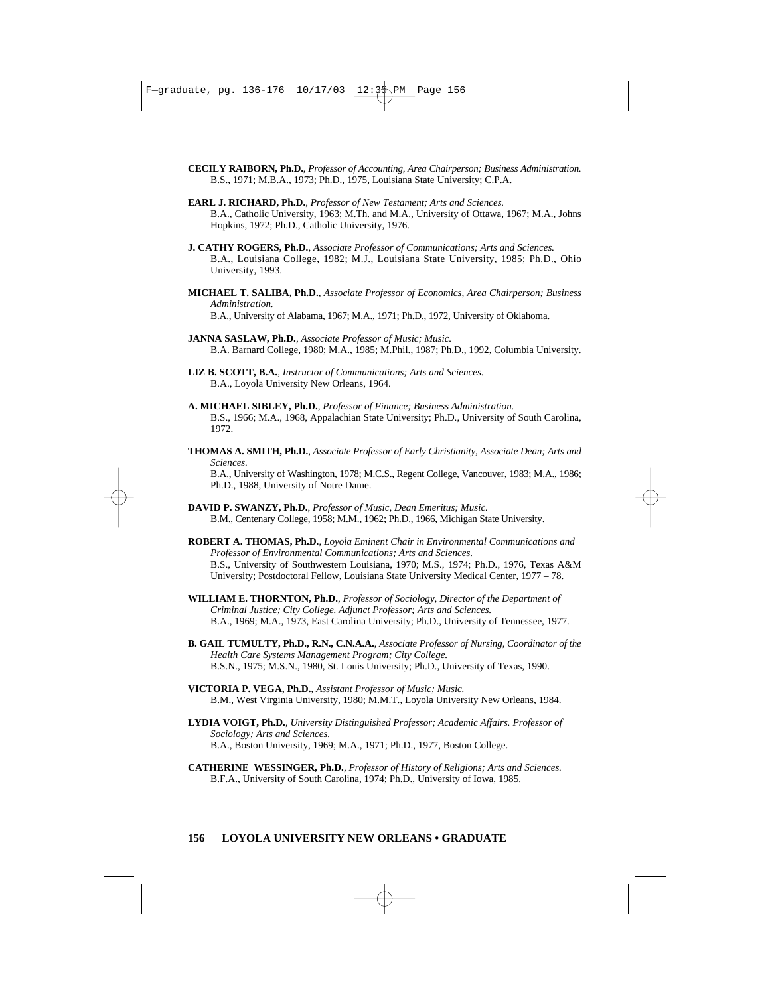- **CECILY RAIBORN, Ph.D.**, *Professor of Accounting, Area Chairperson; Business Administration.* B.S., 1971; M.B.A., 1973; Ph.D., 1975, Louisiana State University; C.P.A.
- **EARL J. RICHARD, Ph.D.**, *Professor of New Testament; Arts and Sciences.* B.A., Catholic University, 1963; M.Th. and M.A., University of Ottawa, 1967; M.A., Johns Hopkins, 1972; Ph.D., Catholic University, 1976.
- **J. CATHY ROGERS, Ph.D.**, *Associate Professor of Communications; Arts and Sciences.* B.A., Louisiana College, 1982; M.J., Louisiana State University, 1985; Ph.D., Ohio University, 1993.
- **MICHAEL T. SALIBA, Ph.D.**, *Associate Professor of Economics, Area Chairperson; Business Administration.*

B.A., University of Alabama, 1967; M.A., 1971; Ph.D., 1972, University of Oklahoma.

- **JANNA SASLAW, Ph.D.**, *Associate Professor of Music; Music.* B.A. Barnard College, 1980; M.A., 1985; M.Phil., 1987; Ph.D., 1992, Columbia University.
- **LIZ B. SCOTT, B.A.**, *Instructor of Communications; Arts and Sciences.* B.A., Loyola University New Orleans, 1964.
- **A. MICHAEL SIBLEY, Ph.D.**, *Professor of Finance; Business Administration.* B.S., 1966; M.A., 1968, Appalachian State University; Ph.D., University of South Carolina, 1972.
- **THOMAS A. SMITH, Ph.D.**, *Associate Professor of Early Christianity, Associate Dean; Arts and Sciences.*

B.A., University of Washington, 1978; M.C.S., Regent College, Vancouver, 1983; M.A., 1986; Ph.D., 1988, University of Notre Dame.

- **DAVID P. SWANZY, Ph.D.**, *Professor of Music, Dean Emeritus; Music.*  B.M., Centenary College, 1958; M.M., 1962; Ph.D., 1966, Michigan State University.
- **ROBERT A. THOMAS, Ph.D.**, *Loyola Eminent Chair in Environmental Communications and Professor of Environmental Communications; Arts and Sciences.* B.S., University of Southwestern Louisiana, 1970; M.S., 1974; Ph.D., 1976, Texas A&M University; Postdoctoral Fellow, Louisiana State University Medical Center, 1977 – 78.
- **WILLIAM E. THORNTON, Ph.D.**, *Professor of Sociology, Director of the Department of Criminal Justice; City College. Adjunct Professor; Arts and Sciences.* B.A., 1969; M.A., 1973, East Carolina University; Ph.D., University of Tennessee, 1977.
- **B. GAIL TUMULTY, Ph.D., R.N., C.N.A.A.**, *Associate Professor of Nursing, Coordinator of the Health Care Systems Management Program; City College.* B.S.N., 1975; M.S.N., 1980, St. Louis University; Ph.D., University of Texas, 1990.
- **VICTORIA P. VEGA, Ph.D.**, *Assistant Professor of Music; Music.* B.M., West Virginia University, 1980; M.M.T., Loyola University New Orleans, 1984.
- **LYDIA VOIGT, Ph.D.**, *University Distinguished Professor; Academic Affairs. Professor of Sociology; Arts and Sciences.* B.A., Boston University, 1969; M.A., 1971; Ph.D., 1977, Boston College.
- **CATHERINE WESSINGER, Ph.D.**, *Professor of History of Religions; Arts and Sciences.* B.F.A., University of South Carolina, 1974; Ph.D., University of Iowa, 1985.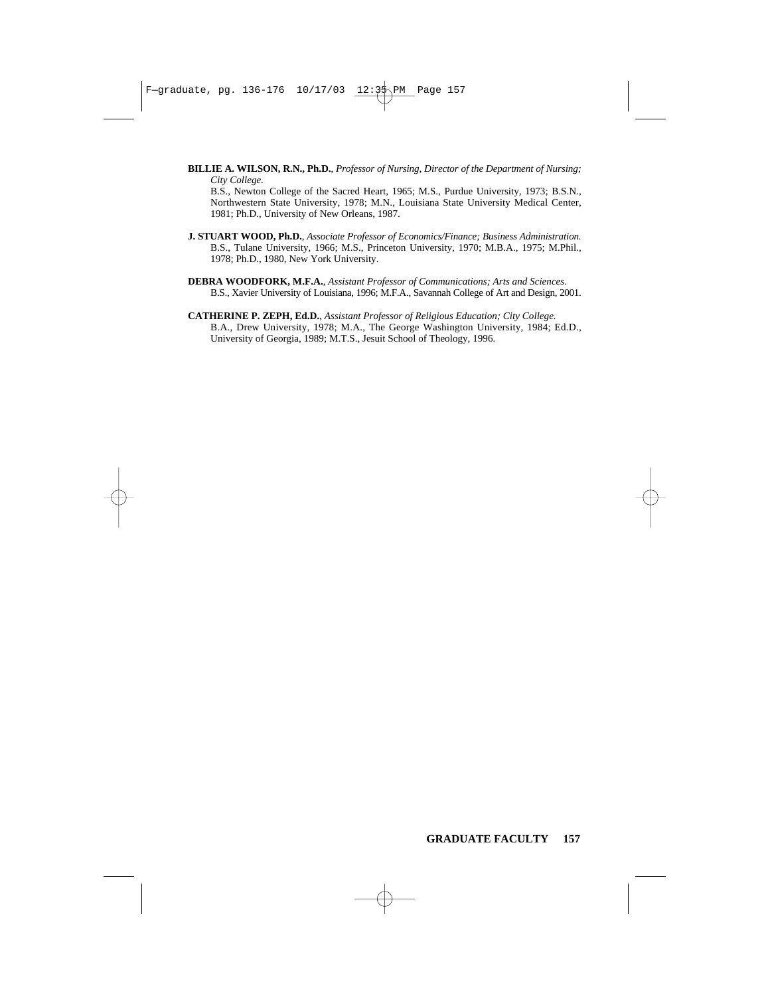**BILLIE A. WILSON, R.N., Ph.D.***, Professor of Nursing, Director of the Department of Nursing; City College.*

B.S., Newton College of the Sacred Heart, 1965; M.S., Purdue University, 1973; B.S.N., Northwestern State University, 1978; M.N., Louisiana State University Medical Center, 1981; Ph.D., University of New Orleans, 1987.

- **J. STUART WOOD, Ph.D.**, *Associate Professor of Economics/Finance; Business Administration.* B.S., Tulane University, 1966; M.S., Princeton University, 1970; M.B.A., 1975; M.Phil., 1978; Ph.D., 1980, New York University.
- **DEBRA WOODFORK, M.F.A.**, *Assistant Professor of Communications; Arts and Sciences.* B.S., Xavier University of Louisiana, 1996; M.F.A., Savannah College of Art and Design, 2001.
- **CATHERINE P. ZEPH, Ed.D.**, *Assistant Professor of Religious Education; City College.* B.A., Drew University, 1978; M.A., The George Washington University, 1984; Ed.D., University of Georgia, 1989; M.T.S., Jesuit School of Theology, 1996.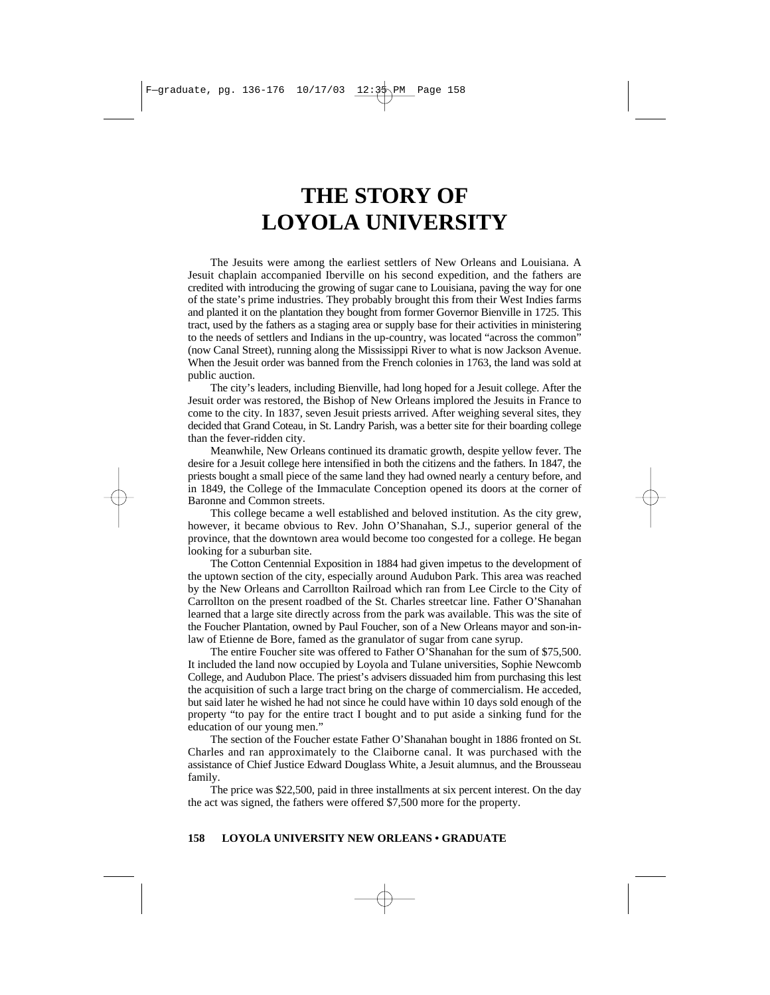# **THE STORY OF LOYOLA UNIVERSITY**

The Jesuits were among the earliest settlers of New Orleans and Louisiana. A Jesuit chaplain accompanied Iberville on his second expedition, and the fathers are credited with introducing the growing of sugar cane to Louisiana, paving the way for one of the state's prime industries. They probably brought this from their West Indies farms and planted it on the plantation they bought from former Governor Bienville in 1725. This tract, used by the fathers as a staging area or supply base for their activities in ministering to the needs of settlers and Indians in the up-country, was located "across the common" (now Canal Street), running along the Mississippi River to what is now Jackson Avenue. When the Jesuit order was banned from the French colonies in 1763, the land was sold at public auction.

The city's leaders, including Bienville, had long hoped for a Jesuit college. After the Jesuit order was restored, the Bishop of New Orleans implored the Jesuits in France to come to the city. In 1837, seven Jesuit priests arrived. After weighing several sites, they decided that Grand Coteau, in St. Landry Parish, was a better site for their boarding college than the fever-ridden city.

Meanwhile, New Orleans continued its dramatic growth, despite yellow fever. The desire for a Jesuit college here intensified in both the citizens and the fathers. In 1847, the priests bought a small piece of the same land they had owned nearly a century before, and in 1849, the College of the Immaculate Conception opened its doors at the corner of Baronne and Common streets.

This college became a well established and beloved institution. As the city grew, however, it became obvious to Rev. John O'Shanahan, S.J., superior general of the province, that the downtown area would become too congested for a college. He began looking for a suburban site.

The Cotton Centennial Exposition in 1884 had given impetus to the development of the uptown section of the city, especially around Audubon Park. This area was reached by the New Orleans and Carrollton Railroad which ran from Lee Circle to the City of Carrollton on the present roadbed of the St. Charles streetcar line. Father O'Shanahan learned that a large site directly across from the park was available. This was the site of the Foucher Plantation, owned by Paul Foucher, son of a New Orleans mayor and son-inlaw of Etienne de Bore, famed as the granulator of sugar from cane syrup.

The entire Foucher site was offered to Father O'Shanahan for the sum of \$75,500. It included the land now occupied by Loyola and Tulane universities, Sophie Newcomb College, and Audubon Place. The priest's advisers dissuaded him from purchasing this lest the acquisition of such a large tract bring on the charge of commercialism. He acceded, but said later he wished he had not since he could have within 10 days sold enough of the property "to pay for the entire tract I bought and to put aside a sinking fund for the education of our young men."

The section of the Foucher estate Father O'Shanahan bought in 1886 fronted on St. Charles and ran approximately to the Claiborne canal. It was purchased with the assistance of Chief Justice Edward Douglass White, a Jesuit alumnus, and the Brousseau family.

The price was \$22,500, paid in three installments at six percent interest. On the day the act was signed, the fathers were offered \$7,500 more for the property.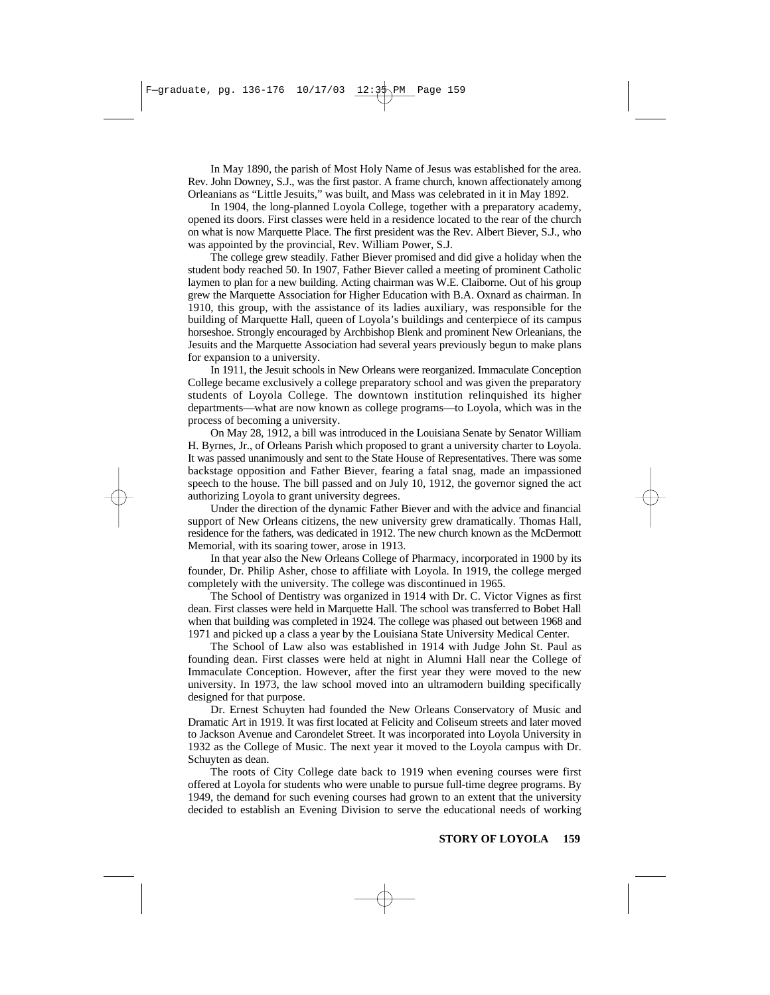In May 1890, the parish of Most Holy Name of Jesus was established for the area. Rev. John Downey, S.J., was the first pastor. A frame church, known affectionately among Orleanians as "Little Jesuits," was built, and Mass was celebrated in it in May 1892.

In 1904, the long-planned Loyola College, together with a preparatory academy, opened its doors. First classes were held in a residence located to the rear of the church on what is now Marquette Place. The first president was the Rev. Albert Biever, S.J., who was appointed by the provincial, Rev. William Power, S.J.

The college grew steadily. Father Biever promised and did give a holiday when the student body reached 50. In 1907, Father Biever called a meeting of prominent Catholic laymen to plan for a new building. Acting chairman was W.E. Claiborne. Out of his group grew the Marquette Association for Higher Education with B.A. Oxnard as chairman. In 1910, this group, with the assistance of its ladies auxiliary, was responsible for the building of Marquette Hall, queen of Loyola's buildings and centerpiece of its campus horseshoe. Strongly encouraged by Archbishop Blenk and prominent New Orleanians, the Jesuits and the Marquette Association had several years previously begun to make plans for expansion to a university.

In 1911, the Jesuit schools in New Orleans were reorganized. Immaculate Conception College became exclusively a college preparatory school and was given the preparatory students of Loyola College. The downtown institution relinquished its higher departments—what are now known as college programs—to Loyola, which was in the process of becoming a university.

On May 28, 1912, a bill was introduced in the Louisiana Senate by Senator William H. Byrnes, Jr., of Orleans Parish which proposed to grant a university charter to Loyola. It was passed unanimously and sent to the State House of Representatives. There was some backstage opposition and Father Biever, fearing a fatal snag, made an impassioned speech to the house. The bill passed and on July 10, 1912, the governor signed the act authorizing Loyola to grant university degrees.

Under the direction of the dynamic Father Biever and with the advice and financial support of New Orleans citizens, the new university grew dramatically. Thomas Hall, residence for the fathers, was dedicated in 1912. The new church known as the McDermott Memorial, with its soaring tower, arose in 1913.

In that year also the New Orleans College of Pharmacy, incorporated in 1900 by its founder, Dr. Philip Asher, chose to affiliate with Loyola. In 1919, the college merged completely with the university. The college was discontinued in 1965.

The School of Dentistry was organized in 1914 with Dr. C. Victor Vignes as first dean. First classes were held in Marquette Hall. The school was transferred to Bobet Hall when that building was completed in 1924. The college was phased out between 1968 and 1971 and picked up a class a year by the Louisiana State University Medical Center.

The School of Law also was established in 1914 with Judge John St. Paul as founding dean. First classes were held at night in Alumni Hall near the College of Immaculate Conception. However, after the first year they were moved to the new university. In 1973, the law school moved into an ultramodern building specifically designed for that purpose.

Dr. Ernest Schuyten had founded the New Orleans Conservatory of Music and Dramatic Art in 1919. It was first located at Felicity and Coliseum streets and later moved to Jackson Avenue and Carondelet Street. It was incorporated into Loyola University in 1932 as the College of Music. The next year it moved to the Loyola campus with Dr. Schuyten as dean.

The roots of City College date back to 1919 when evening courses were first offered at Loyola for students who were unable to pursue full-time degree programs. By 1949, the demand for such evening courses had grown to an extent that the university decided to establish an Evening Division to serve the educational needs of working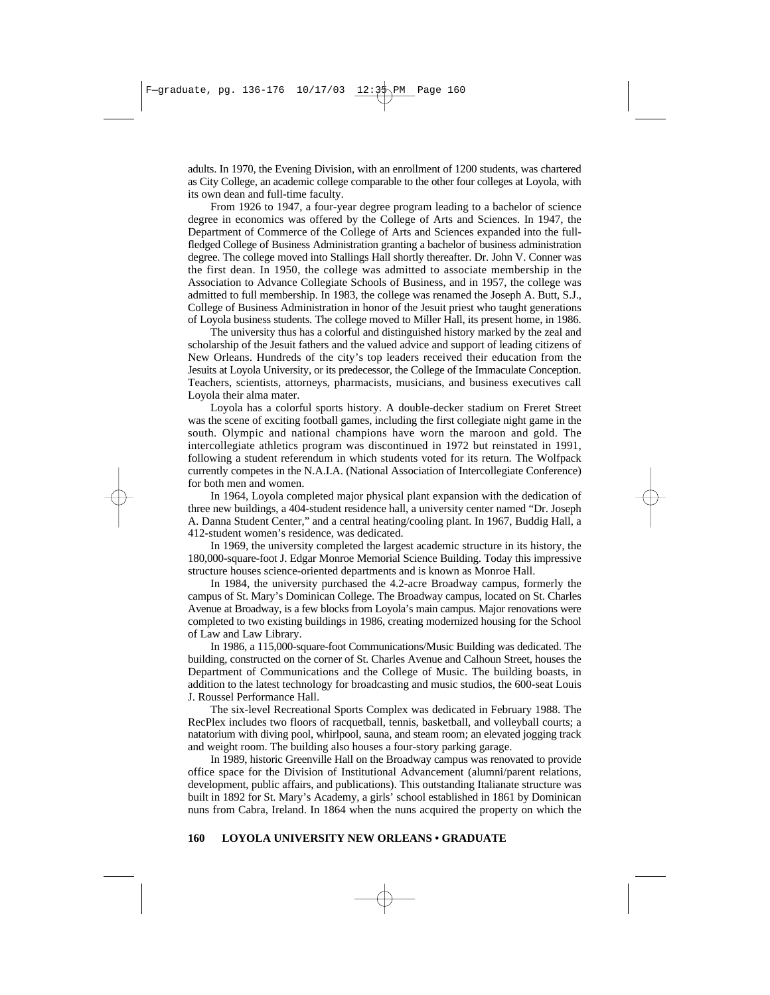adults. In 1970, the Evening Division, with an enrollment of 1200 students, was chartered as City College, an academic college comparable to the other four colleges at Loyola, with its own dean and full-time faculty.

From 1926 to 1947, a four-year degree program leading to a bachelor of science degree in economics was offered by the College of Arts and Sciences. In 1947, the Department of Commerce of the College of Arts and Sciences expanded into the fullfledged College of Business Administration granting a bachelor of business administration degree. The college moved into Stallings Hall shortly thereafter. Dr. John V. Conner was the first dean. In 1950, the college was admitted to associate membership in the Association to Advance Collegiate Schools of Business, and in 1957, the college was admitted to full membership. In 1983, the college was renamed the Joseph A. Butt, S.J., College of Business Administration in honor of the Jesuit priest who taught generations of Loyola business students. The college moved to Miller Hall, its present home, in 1986.

The university thus has a colorful and distinguished history marked by the zeal and scholarship of the Jesuit fathers and the valued advice and support of leading citizens of New Orleans. Hundreds of the city's top leaders received their education from the Jesuits at Loyola University, or its predecessor, the College of the Immaculate Conception. Teachers, scientists, attorneys, pharmacists, musicians, and business executives call Loyola their alma mater.

Loyola has a colorful sports history. A double-decker stadium on Freret Street was the scene of exciting football games, including the first collegiate night game in the south. Olympic and national champions have worn the maroon and gold. The intercollegiate athletics program was discontinued in 1972 but reinstated in 1991, following a student referendum in which students voted for its return. The Wolfpack currently competes in the N.A.I.A. (National Association of Intercollegiate Conference) for both men and women.

In 1964, Loyola completed major physical plant expansion with the dedication of three new buildings, a 404-student residence hall, a university center named "Dr. Joseph A. Danna Student Center," and a central heating/cooling plant. In 1967, Buddig Hall, a 412-student women's residence, was dedicated.

In 1969, the university completed the largest academic structure in its history, the 180,000-square-foot J. Edgar Monroe Memorial Science Building. Today this impressive structure houses science-oriented departments and is known as Monroe Hall.

In 1984, the university purchased the 4.2-acre Broadway campus, formerly the campus of St. Mary's Dominican College. The Broadway campus, located on St. Charles Avenue at Broadway, is a few blocks from Loyola's main campus. Major renovations were completed to two existing buildings in 1986, creating modernized housing for the School of Law and Law Library.

In 1986, a 115,000-square-foot Communications/Music Building was dedicated. The building, constructed on the corner of St. Charles Avenue and Calhoun Street, houses the Department of Communications and the College of Music. The building boasts, in addition to the latest technology for broadcasting and music studios, the 600-seat Louis J. Roussel Performance Hall.

The six-level Recreational Sports Complex was dedicated in February 1988. The RecPlex includes two floors of racquetball, tennis, basketball, and volleyball courts; a natatorium with diving pool, whirlpool, sauna, and steam room; an elevated jogging track and weight room. The building also houses a four-story parking garage.

In 1989, historic Greenville Hall on the Broadway campus was renovated to provide office space for the Division of Institutional Advancement (alumni/parent relations, development, public affairs, and publications). This outstanding Italianate structure was built in 1892 for St. Mary's Academy, a girls' school established in 1861 by Dominican nuns from Cabra, Ireland. In 1864 when the nuns acquired the property on which the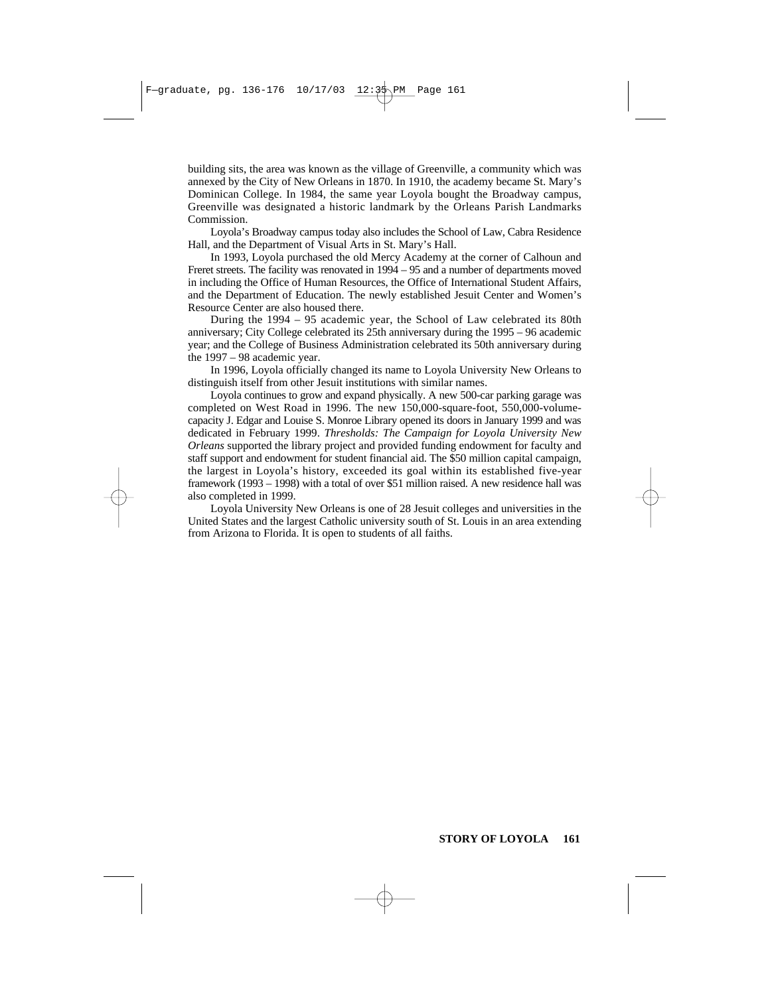building sits, the area was known as the village of Greenville, a community which was annexed by the City of New Orleans in 1870. In 1910, the academy became St. Mary's Dominican College. In 1984, the same year Loyola bought the Broadway campus, Greenville was designated a historic landmark by the Orleans Parish Landmarks Commission.

Loyola's Broadway campus today also includes the School of Law, Cabra Residence Hall, and the Department of Visual Arts in St. Mary's Hall.

In 1993, Loyola purchased the old Mercy Academy at the corner of Calhoun and Freret streets. The facility was renovated in 1994 – 95 and a number of departments moved in including the Office of Human Resources, the Office of International Student Affairs, and the Department of Education. The newly established Jesuit Center and Women's Resource Center are also housed there.

During the 1994 – 95 academic year, the School of Law celebrated its 80th anniversary; City College celebrated its 25th anniversary during the 1995 – 96 academic year; and the College of Business Administration celebrated its 50th anniversary during the 1997 – 98 academic year.

In 1996, Loyola officially changed its name to Loyola University New Orleans to distinguish itself from other Jesuit institutions with similar names.

Loyola continues to grow and expand physically. A new 500-car parking garage was completed on West Road in 1996. The new 150,000-square-foot, 550,000-volumecapacity J. Edgar and Louise S. Monroe Library opened its doors in January 1999 and was dedicated in February 1999. *Thresholds: The Campaign for Loyola University New Orleans* supported the library project and provided funding endowment for faculty and staff support and endowment for student financial aid. The \$50 million capital campaign, the largest in Loyola's history, exceeded its goal within its established five-year framework (1993 – 1998) with a total of over \$51 million raised. A new residence hall was also completed in 1999.

Loyola University New Orleans is one of 28 Jesuit colleges and universities in the United States and the largest Catholic university south of St. Louis in an area extending from Arizona to Florida. It is open to students of all faiths.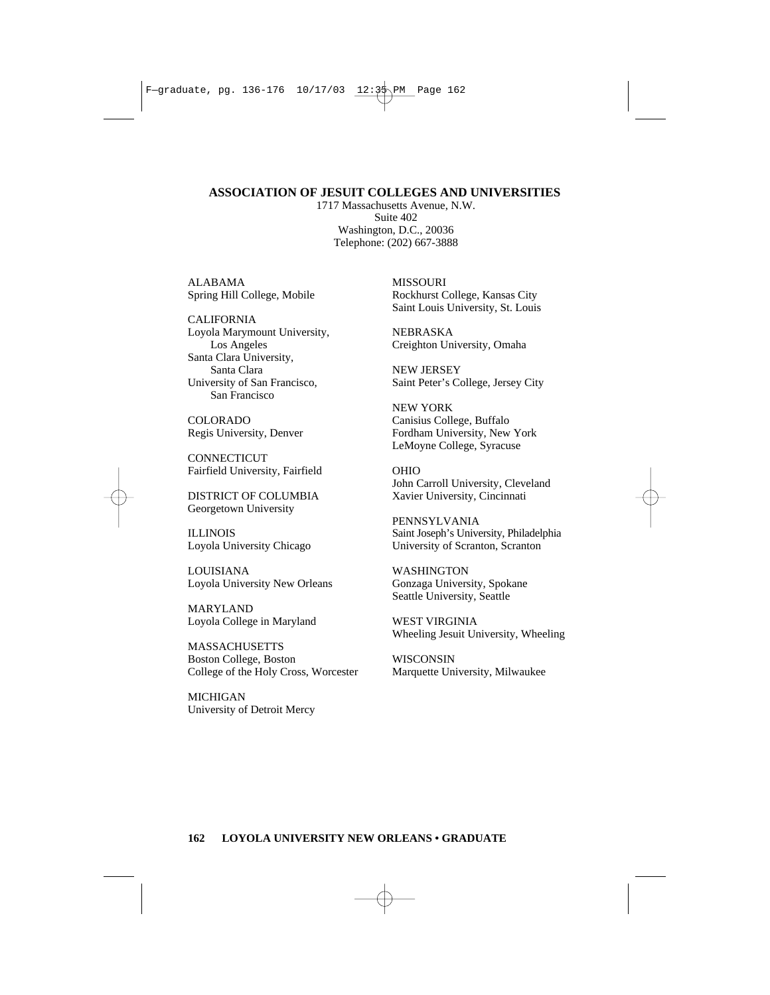### **ASSOCIATION OF JESUIT COLLEGES AND UNIVERSITIES**

1717 Massachusetts Avenue, N.W. Suite 402 Washington, D.C., 20036 Telephone: (202) 667-3888

ALABAMA Spring Hill College, Mobile

CALIFORNIA Loyola Marymount University, Los Angeles Santa Clara University, Santa Clara University of San Francisco, San Francisco

COLORADO Regis University, Denver

**CONNECTICUT** Fairfield University, Fairfield

DISTRICT OF COLUMBIA Georgetown University

ILLINOIS Loyola University Chicago

LOUISIANA Loyola University New Orleans

MARYLAND Loyola College in Maryland

MASSACHUSETTS Boston College, Boston College of the Holy Cross, Worcester

MICHIGAN University of Detroit Mercy MISSOURI Rockhurst College, Kansas City Saint Louis University, St. Louis

NEBRASKA Creighton University, Omaha

NEW JERSEY Saint Peter's College, Jersey City

NEW YORK Canisius College, Buffalo Fordham University, New York LeMoyne College, Syracuse

OHIO John Carroll University, Cleveland Xavier University, Cincinnati

PENNSYLVANIA Saint Joseph's University, Philadelphia University of Scranton, Scranton

WASHINGTON Gonzaga University, Spokane Seattle University, Seattle

WEST VIRGINIA Wheeling Jesuit University, Wheeling

WISCONSIN Marquette University, Milwaukee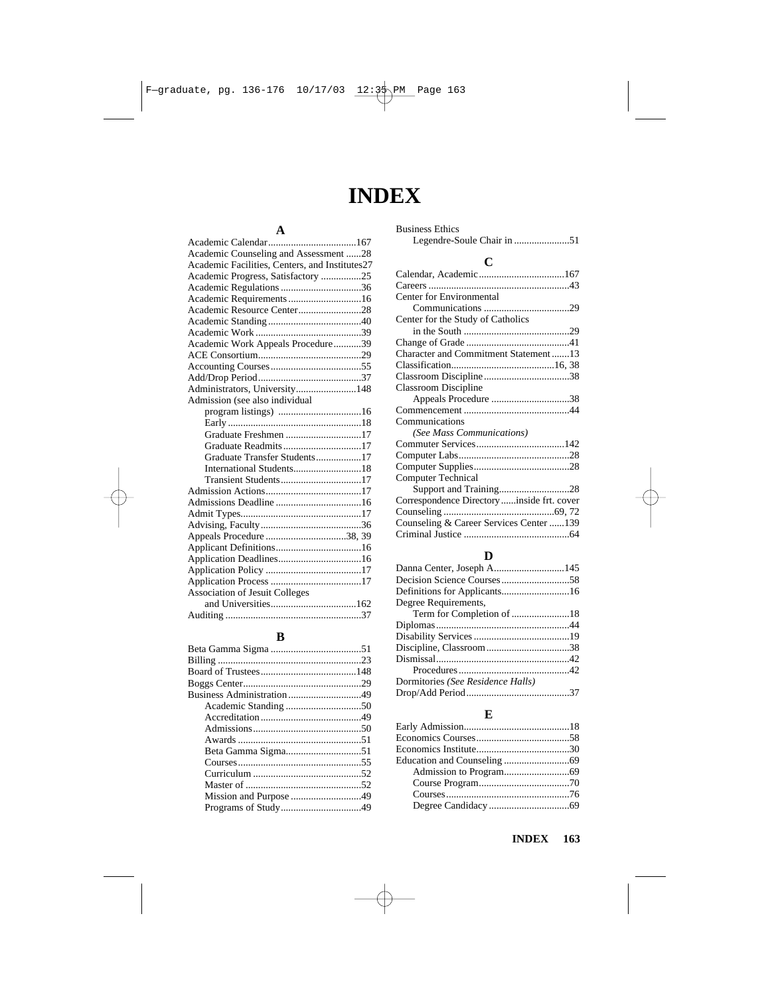# **INDEX**

## **A**

| Academic Counseling and Assessment 28          |  |
|------------------------------------------------|--|
| Academic Facilities, Centers, and Institutes27 |  |
| Academic Progress, Satisfactory 25             |  |
|                                                |  |
| Academic Requirements16                        |  |
| Academic Resource Center28                     |  |
|                                                |  |
|                                                |  |
| Academic Work Appeals Procedure39              |  |
|                                                |  |
|                                                |  |
|                                                |  |
| Administrators, University148                  |  |
| Admission (see also individual                 |  |
|                                                |  |
|                                                |  |
| Graduate Freshmen 17                           |  |
| Graduate Readmits17                            |  |
| Graduate Transfer Students17                   |  |
|                                                |  |
| Transient Students17                           |  |
|                                                |  |
|                                                |  |
|                                                |  |
|                                                |  |
| Appeals Procedure 38, 39                       |  |
|                                                |  |
|                                                |  |
|                                                |  |
|                                                |  |
| Association of Jesuit Colleges                 |  |
|                                                |  |
|                                                |  |
|                                                |  |

### **B**

| Beta Gamma Sigma51 |  |
|--------------------|--|
|                    |  |
|                    |  |
|                    |  |
|                    |  |
|                    |  |
|                    |  |

| <b>Business Ethics</b> |  |
|------------------------|--|
|                        |  |

### **C**

| Center for Environmental                   |  |
|--------------------------------------------|--|
|                                            |  |
| Center for the Study of Catholics          |  |
|                                            |  |
|                                            |  |
| Character and Commitment Statement13       |  |
|                                            |  |
|                                            |  |
| Classroom Discipline                       |  |
|                                            |  |
|                                            |  |
| Communications                             |  |
| (See Mass Communications)                  |  |
|                                            |  |
|                                            |  |
|                                            |  |
| <b>Computer Technical</b>                  |  |
| Support and Training28                     |  |
| Correspondence Directory inside frt. cover |  |
|                                            |  |
| Counseling & Career Services Center 139    |  |
|                                            |  |
|                                            |  |

### **D**

| Degree Requirements,              |  |
|-----------------------------------|--|
|                                   |  |
|                                   |  |
|                                   |  |
|                                   |  |
|                                   |  |
|                                   |  |
| Dormitories (See Residence Halls) |  |
|                                   |  |

### **E**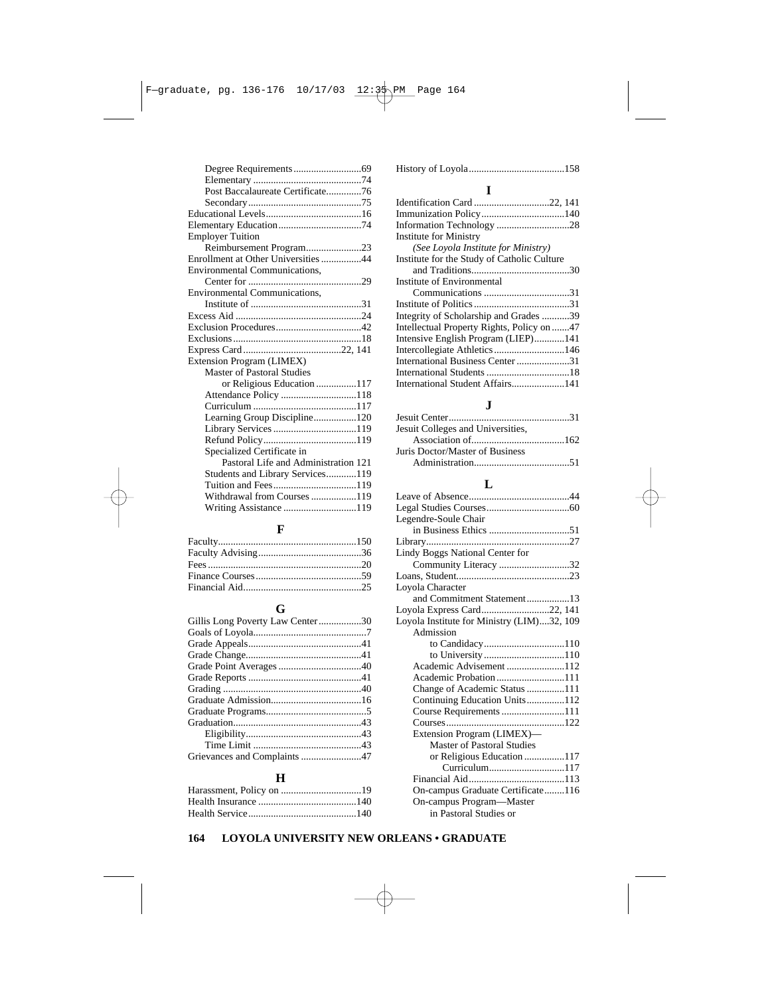| Post Baccalaureate Certificate76     |
|--------------------------------------|
|                                      |
|                                      |
|                                      |
|                                      |
|                                      |
| <b>Employer Tuition</b>              |
| Reimbursement Program23              |
| Enrollment at Other Universities 44  |
| Environmental Communications,        |
|                                      |
| Environmental Communications,        |
|                                      |
|                                      |
|                                      |
|                                      |
|                                      |
| Extension Program (LIMEX)            |
| <b>Master of Pastoral Studies</b>    |
| or Religious Education 117           |
|                                      |
|                                      |
| Learning Group Discipline120         |
|                                      |
|                                      |
| Specialized Certificate in           |
| Pastoral Life and Administration 121 |
| Students and Library Services119     |
| Tuition and Fees119                  |
| Withdrawal from Courses 119          |
|                                      |

### **F**

## **G**

| Gillis Long Poverty Law Center30 |  |
|----------------------------------|--|
|                                  |  |
|                                  |  |
|                                  |  |
|                                  |  |
|                                  |  |
|                                  |  |
|                                  |  |
|                                  |  |
|                                  |  |
|                                  |  |
|                                  |  |
|                                  |  |
|                                  |  |

### **H**

### **I**

| <b>Institute for Ministry</b>               |  |
|---------------------------------------------|--|
| (See Loyola Institute for Ministry)         |  |
| Institute for the Study of Catholic Culture |  |
|                                             |  |
| Institute of Environmental                  |  |
|                                             |  |
|                                             |  |
| Integrity of Scholarship and Grades 39      |  |
| Intellectual Property Rights, Policy on 47  |  |
| Intensive English Program (LIEP)141         |  |
| Intercollegiate Athletics146                |  |
| International Business Center 31            |  |
|                                             |  |
| International Student Affairs141            |  |

## **J**

| Jesuit Colleges and Universities, |  |
|-----------------------------------|--|
|                                   |  |
| Juris Doctor/Master of Business   |  |
|                                   |  |

### **L**

| Legendre-Soule Chair                       |  |
|--------------------------------------------|--|
|                                            |  |
|                                            |  |
| <b>Lindy Boggs National Center for</b>     |  |
| Community Literacy 32                      |  |
|                                            |  |
| Loyola Character                           |  |
| and Commitment Statement13                 |  |
| Loyola Express Card22, 141                 |  |
| Loyola Institute for Ministry (LIM)32, 109 |  |
| Admission                                  |  |
|                                            |  |
| to University110                           |  |
| Academic Advisement 112                    |  |
|                                            |  |
| Change of Academic Status 111              |  |
| Continuing Education Units112              |  |
| Course Requirements 111                    |  |
|                                            |  |
| Extension Program (LIMEX)-                 |  |
| <b>Master of Pastoral Studies</b>          |  |
| or Religious Education 117                 |  |
| Curriculum117                              |  |
|                                            |  |
| On-campus Graduate Certificate116          |  |
| On-campus Program-Master                   |  |
| in Pastoral Studies or                     |  |

## **164 LOYOLA UNIVERSITY NEW ORLEANS • GRADUATE**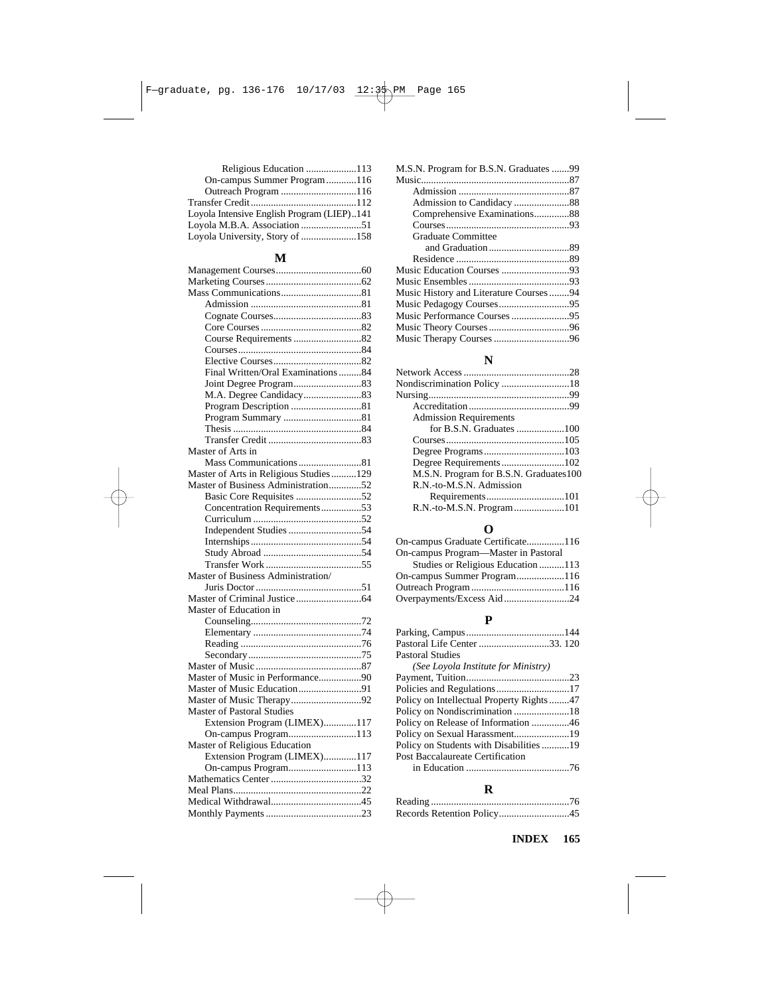| Religious Education 113                    |  |
|--------------------------------------------|--|
| On-campus Summer Program116                |  |
|                                            |  |
|                                            |  |
| Loyola Intensive English Program (LIEP)141 |  |
|                                            |  |
| Loyola University, Story of 158            |  |

## **M**

| Final Written/Oral Examinations 84     |  |
|----------------------------------------|--|
|                                        |  |
| M.A. Degree Candidacy83                |  |
| Program Description 81                 |  |
|                                        |  |
|                                        |  |
|                                        |  |
| Master of Arts in                      |  |
| Mass Communications 81                 |  |
| Master of Arts in Religious Studies129 |  |
| Master of Business Administration52    |  |
| Basic Core Requisites 52               |  |
| Concentration Requirements53           |  |
|                                        |  |
|                                        |  |
|                                        |  |
|                                        |  |
|                                        |  |
| Master of Business Administration/     |  |
|                                        |  |
|                                        |  |
| Master of Education in                 |  |
|                                        |  |
|                                        |  |
|                                        |  |
|                                        |  |
|                                        |  |
| Master of Music in Performance90       |  |
| Master of Music Education91            |  |
| Master of Music Therapy92              |  |
| <b>Master of Pastoral Studies</b>      |  |
| Extension Program (LIMEX)117           |  |
| On-campus Program113                   |  |
| Master of Religious Education          |  |
| Extension Program (LIMEX)117           |  |
| On-campus Program113                   |  |
|                                        |  |
|                                        |  |
|                                        |  |
|                                        |  |
|                                        |  |

| M.S.N. Program for B.S.N. Graduates 99 |  |
|----------------------------------------|--|
|                                        |  |
|                                        |  |
|                                        |  |
| Comprehensive Examinations88           |  |
|                                        |  |
| <b>Graduate Committee</b>              |  |
|                                        |  |
|                                        |  |
|                                        |  |
|                                        |  |
| Music History and Literature Courses94 |  |
|                                        |  |
|                                        |  |
|                                        |  |
|                                        |  |
|                                        |  |

## **N**

| <b>Admission Requirements</b>          |  |
|----------------------------------------|--|
| for B.S.N. Graduates 100               |  |
|                                        |  |
|                                        |  |
| Degree Requirements102                 |  |
| M.S.N. Program for B.S.N. Graduates100 |  |
| R.N.-to-M.S.N. Admission               |  |
|                                        |  |
|                                        |  |

## **O**

| On-campus Graduate Certificate116    |  |
|--------------------------------------|--|
| On-campus Program—Master in Pastoral |  |
| Studies or Religious Education 113   |  |
| On-campus Summer Program116          |  |
|                                      |  |
|                                      |  |

## **P**

| Pastoral Life Center 33. 120             |  |
|------------------------------------------|--|
| <b>Pastoral Studies</b>                  |  |
| (See Loyola Institute for Ministry)      |  |
|                                          |  |
|                                          |  |
| Policy on Intellectual Property Rights47 |  |
|                                          |  |
| Policy on Release of Information 46      |  |
|                                          |  |
| Policy on Students with Disabilities19   |  |
| Post Baccalaureate Certification         |  |
|                                          |  |
|                                          |  |

## **R**

| Records Retention Policy45 |  |
|----------------------------|--|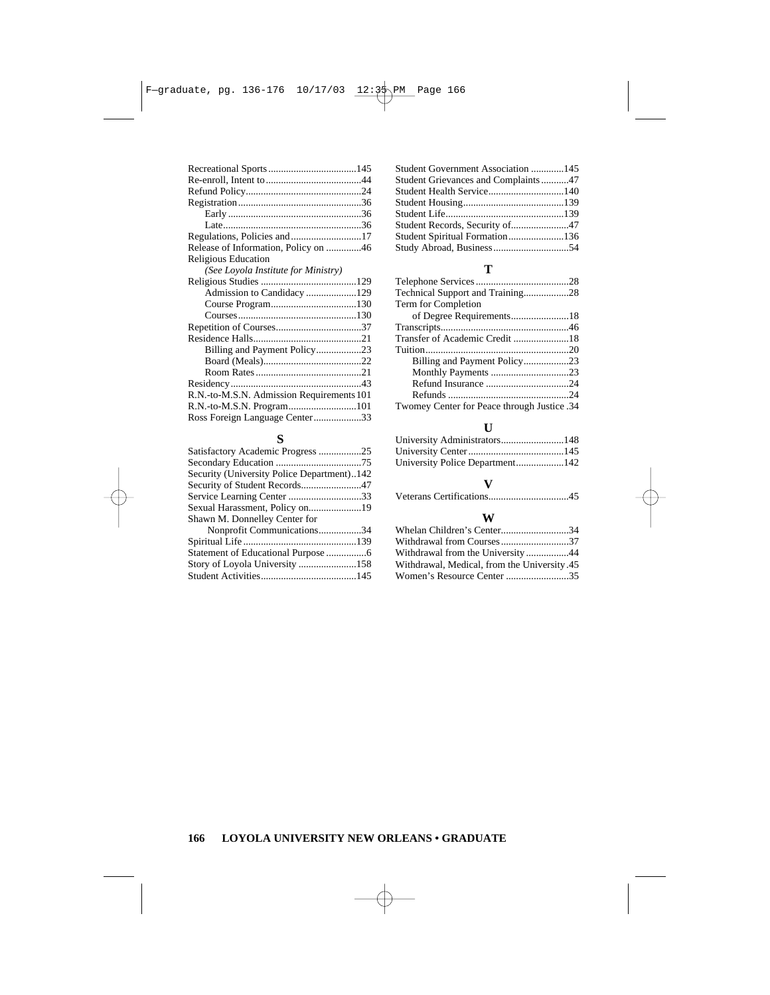| Release of Information, Policy on 46      |  |
|-------------------------------------------|--|
| Religious Education                       |  |
| (See Loyola Institute for Ministry)       |  |
|                                           |  |
|                                           |  |
|                                           |  |
|                                           |  |
|                                           |  |
|                                           |  |
| Billing and Payment Policy23              |  |
|                                           |  |
|                                           |  |
|                                           |  |
| R.N.-to-M.S.N. Admission Requirements 101 |  |
|                                           |  |
| Ross Foreign Language Center33            |  |
|                                           |  |

### **S**

| Satisfactory Academic Progress 25          |  |
|--------------------------------------------|--|
|                                            |  |
| Security (University Police Department)142 |  |
| Security of Student Records47              |  |
|                                            |  |
|                                            |  |
| Shawn M. Donnelley Center for              |  |
| Nonprofit Communications34                 |  |
|                                            |  |
|                                            |  |
|                                            |  |
|                                            |  |
|                                            |  |

### **T**

| Term for Completion                         |  |
|---------------------------------------------|--|
|                                             |  |
|                                             |  |
| Transfer of Academic Credit 18              |  |
|                                             |  |
|                                             |  |
|                                             |  |
|                                             |  |
|                                             |  |
| Twomey Center for Peace through Justice .34 |  |
|                                             |  |

### **U**

### **V**

| `` |
|----|
|    |

### **W**

| Whelan Children's Center34                  |  |
|---------------------------------------------|--|
| Withdrawal from Courses37                   |  |
| Withdrawal from the University 44           |  |
| Withdrawal, Medical, from the University.45 |  |
| Women's Resource Center 35                  |  |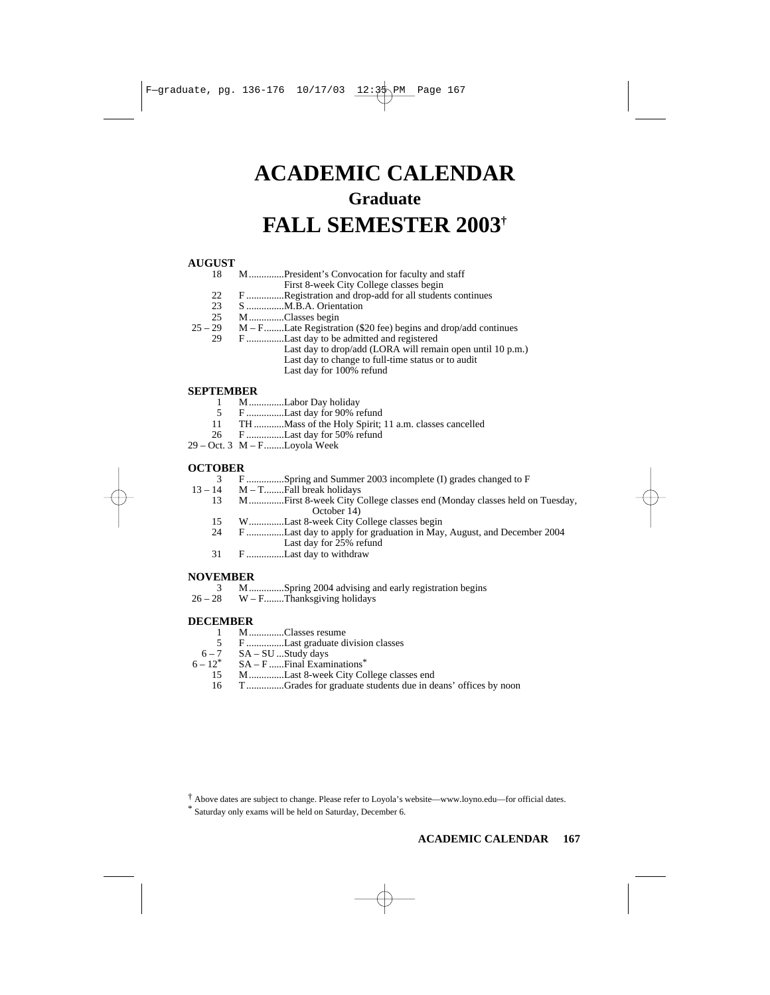# **ACADEMIC CALENDAR Graduate FALL SEMESTER 2003†**

# **AUGUST**

- 18 M..............President's Convocation for faculty and staff
- First 8-week City College classes begin
- 22 F ...............Registration and drop-add for all students continues<br>23 S ............... M B A Orientation
- 23 S ...............M.B.A. Orientation
- 25 M..............Classes begin<br>25 29 M F......... Late Registrat
	- $M F$ ........Late Registration (\$20 fee) begins and drop/add continues
	- 29 F ...............Last day to be admitted and registered
		- Last day to drop/add (LORA will remain open until 10 p.m.) Last day to change to full-time status or to audit Last day for 100% refund

# **SEPTEMBER**

- 1 M..............Labor Day holiday<br>5 F...............Last day for 90% re
- 5 F ................Last day for 90% refund<br>11 TH Mass of the Holy Spirit:
- 11 TH ............Mass of the Holy Spirit; 11 a.m. classes cancelled
- 26 F ...............Last day for 50% refund
- $29 Oct. 3 M F.$ .......Loyola Week

### **OCTOBER**

- 3 F ...............Spring and Summer 2003 incomplete (I) grades changed to F<br>13 14 M T .......Fall break holidays
	- 13 14 M T........Fall break holidays
		- 13 M..............First 8-week City College classes end (Monday classes held on Tuesday, October 14)
		- 15 W..............Last 8-week City College classes begin
		- 24 F ...............Last day to apply for graduation in May, August, and December 2004 Last day for 25% refund
		- 31 F ...............Last day to withdraw

# **NOVEMBER**<br>3 M

- 3 M..............Spring 2004 advising and early registration begins
- $26 28$  W F........Thanksgiving holidays

# **DECEMBER**

- 1 M..............Classes resume<br>5 F................Last graduate di
- 5 F ...............Last graduate division classes
- $6-7$  SA SU ...Study days<br> $6-12^*$  SA F Final Exam
	- 2<sup>\*</sup> SA F ......Final Examinations<sup>\*</sup><br>15 M Last 8-week City Co
		- 15 M................Last 8-week City College classes end<br>16 T Grades for graduate students due in de
		- T ...............Grades for graduate students due in deans' offices by noon

† Above dates are subject to change. Please refer to Loyola's website—www.loyno.edu—for official dates.

\* Saturday only exams will be held on Saturday, December 6.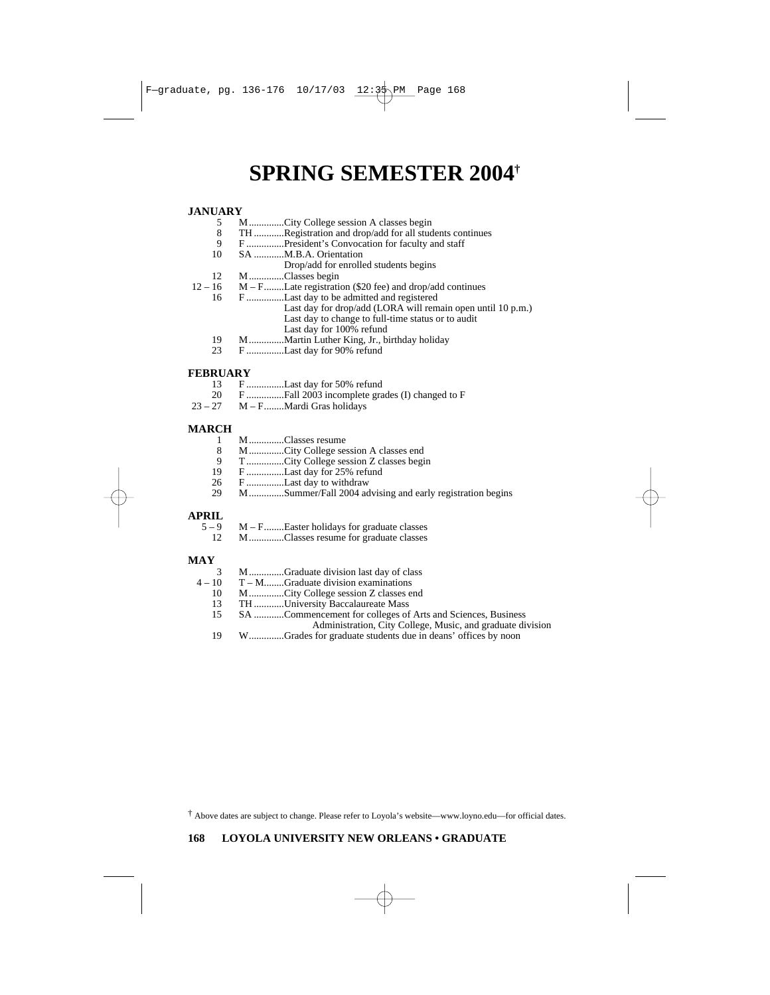# **SPRING SEMESTER 2004†**

# **JANUARY**

- 5 M...............City College session A classes begin<br>8 TH Registration and drop/add for all students
- 8 TH ............Registration and drop/add for all students continues<br>9 F President's Convocation for faculty and staff
- F ...............President's Convocation for faculty and staff
- 10 SA ............M.B.A. Orientation
	- Drop/add for enrolled students begins
- $12$  M..............Classes begin<br> $12 16$  M F........Late registrati
	- 16 M F........Late registration (\$20 fee) and drop/add continues<br>16 F. M. Last day to be admitted and registered
	- 16 F ...............Last day to be admitted and registered
		- Last day for drop/add (LORA will remain open until 10 p.m.) Last day to change to full-time status or to audit Last day for 100% refund
		- 19 M..............Martin Luther King, Jr., birthday holiday
		- 23 F ...............Last day for 90% refund

# **FEBRUARY**<br>13 F.

- 13 F ...............Last day for 50% refund
- 20 F ...............Fall 2003 incomplete grades (I) changed to F
- M F........Mardi Gras holidays

### **MARCH**

- 1 M..............Classes resume<br>8 M...............City College sea
- 8 M...............City College session A classes end<br>9 T................City College session Z classes begi
- 9 T...............City College session Z classes begin
- F ..............Last day for 25% refund
- 26 F ...............Last day to withdraw<br>29 M Summer/Fall 2004 ad
- 29 M..............Summer/Fall 2004 advising and early registration begins

# **APRIL**

- 9 M – F........Easter holidays for graduate classes<br>12 M – Classes resume for graduate classes M..............Classes resume for graduate classes

### **MAY**

- 3 M................Graduate division last day of class  $4-10$  T M.........Graduate division examinations
	- 10 T M........Graduate division examinations<br>10 M.............City College session Z classes e
	- 10 M...............City College session Z classes end<br>13 TH University Baccalaureate Mass
	- 13 TH ............University Baccalaureate Mass<br>15 SA Commencement for colleges of
	- SA ............Commencement for colleges of Arts and Sciences, Business
		- Administration, City College, Music, and graduate division
	- 19 W..............Grades for graduate students due in deans' offices by noon

† Above dates are subject to change. Please refer to Loyola's website—www.loyno.edu—for official dates.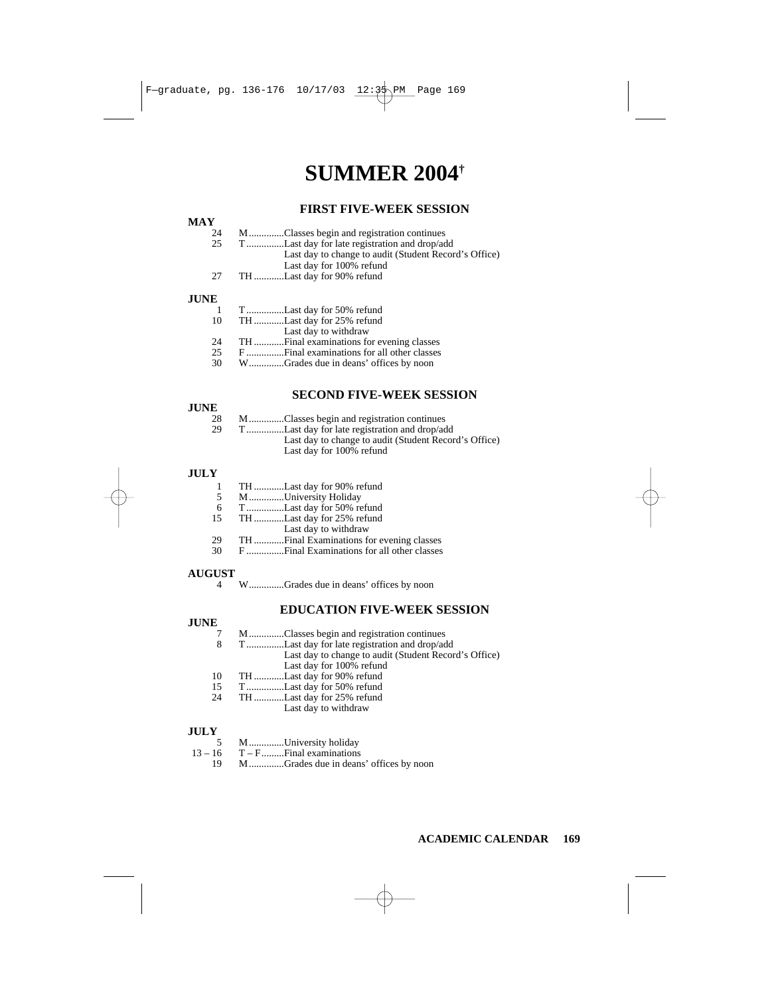# **SUMMER 2004†**

### **FIRST FIVE-WEEK SESSION**

#### $\frac{MAY}{24}$ 24 M..............Classes begin and registration continues<br>25 T................Last day for late registration and drop/ad 25 T ...............Last day for late registration and drop/add Last day to change to audit (Student Record's Office) Last day for 100% refund 27 TH ............Last day for 90% refund

### **JUNE**

| TLast day for 50% refund              |
|---------------------------------------|
| THLast day for 25% refund             |
| Last day to withdraw                  |
|                                       |
|                                       |
| WGrades due in deans' offices by noon |
|                                       |

### **SECOND FIVE-WEEK SESSION**

### **JUNE**

| 28 | MClasses begin and registration continues        |
|----|--------------------------------------------------|
| 29 | TLast day for late registration and drop/add     |
|    | Last day to change to sudit (Student Record's Of |

ast day to change to audit (Student Record's Office) Last day for 100% refund

### **JULY**

- 1 TH ............Last day for 90% refund
- 5 M..............University Holiday
- 6 T...............Last day for 50% refund
- 15 TH ............Last day for 25% refund
- Last day to withdraw
- 29 TH ............Final Examinations for evening classes
- 30 F ...............Final Examinations for all other classes

### **AUGUST**

### **EDUCATION FIVE-WEEK SESSION**

### **JUNE**

|    | MClasses begin and registration continues             |
|----|-------------------------------------------------------|
| 8  | TLast day for late registration and drop/add          |
|    | Last day to change to audit (Student Record's Office) |
|    | Last day for 100% refund                              |
| 10 | THLast day for 90% refund                             |
| 15 | TLast day for 50% refund                              |
| 24 | THLast day for 25% refund                             |
|    | Last day to withdraw                                  |

### **JULY**

|  | MUniversity holiday |
|--|---------------------|
|  |                     |

- $13 16$  T F.......... Final examinations<br>19 M.................Grades due in dean
	- M..............Grades due in deans' offices by noon

<sup>4</sup> W..............Grades due in deans' offices by noon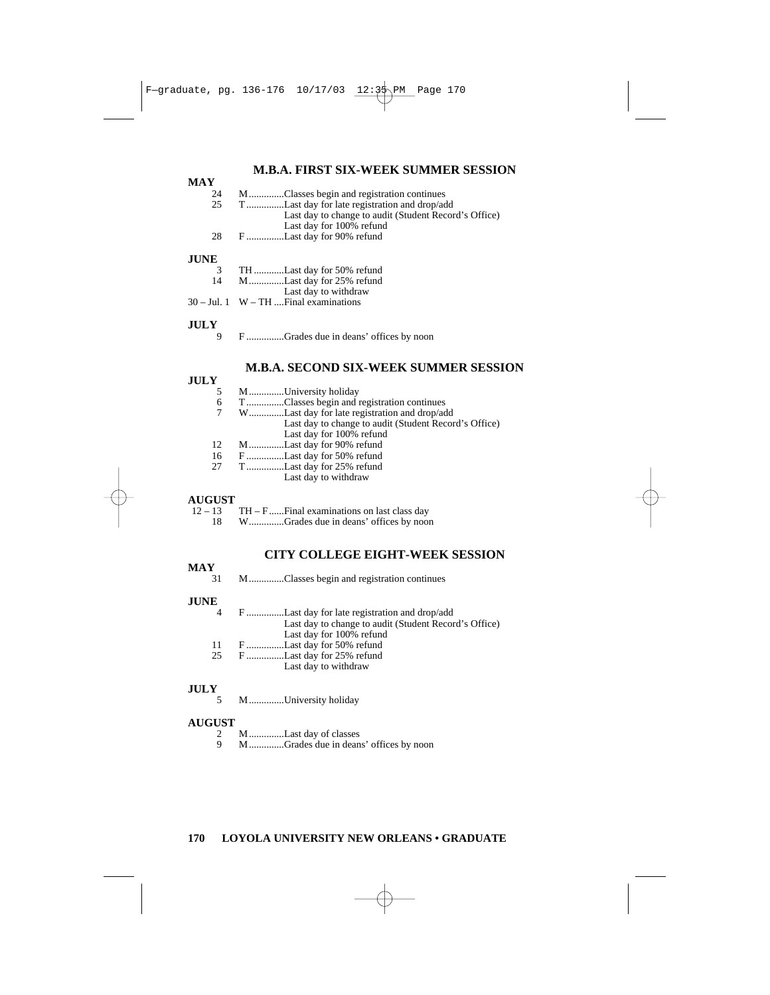### **M.B.A. FIRST SIX-WEEK SUMMER SESSION**

| NIA Y       |                                                                                                                                   |
|-------------|-----------------------------------------------------------------------------------------------------------------------------------|
| 24          | MClasses begin and registration continues                                                                                         |
| 25          | TLast day for late registration and drop/add<br>Last day to change to audit (Student Record's Office)<br>Last day for 100% refund |
| 28          | FLast day for 90% refund                                                                                                          |
| <b>JUNE</b> |                                                                                                                                   |
| 3           | TH Last day for 50% refund                                                                                                        |
| 14          | MLast day for 25% refund                                                                                                          |
|             | Last day to withdraw                                                                                                              |
|             | $30 -$ Jul. 1 W – TH  Final examinations                                                                                          |
| <b>JULY</b> |                                                                                                                                   |
| 9           | FGrades due in deans' offices by noon                                                                                             |

### **M.B.A. SECOND SIX-WEEK SUMMER SESSION**

### **JULY**

**MAY**

| -- |                                                       |
|----|-------------------------------------------------------|
|    | MUniversity holiday                                   |
| 6  | TClasses begin and registration continues             |
|    | WLast day for late registration and drop/add          |
|    | Last day to change to audit (Student Record's Office) |
|    | Lost day for 100% rafund                              |

- Last day for 100% refund
- 12 M...............Last day for 90% refund<br>16 F................Last day for 50% refund F ..............Last day for 50% refund
- 27 T ...............Last day for 25% refund
	- Last day to withdraw

## **AUGUST**

| $12 - 13$ | $TH - F$ Final examinations on last class day |
|-----------|-----------------------------------------------|
| 18.       | WGrades due in deans' offices by noon         |

### **CITY COLLEGE EIGHT-WEEK SESSION**

# $\frac{MAY}{31}$

31 M..............Classes begin and registration continues

#### **JUNE**

- 4 F ...............Last day for late registration and drop/add Last day to change to audit (Student Record's Office) Last day for 100% refund 11 F ...............Last day for 50% refund
- 25 F ...............Last day for 25% refund
	- Last day to withdraw

### **JULY**

5 M..............University holiday

### **AUGUST**

- 2 M...............Last day of classes<br>9 M...............Crades due in dean
- 9 M..............Grades due in deans' offices by noon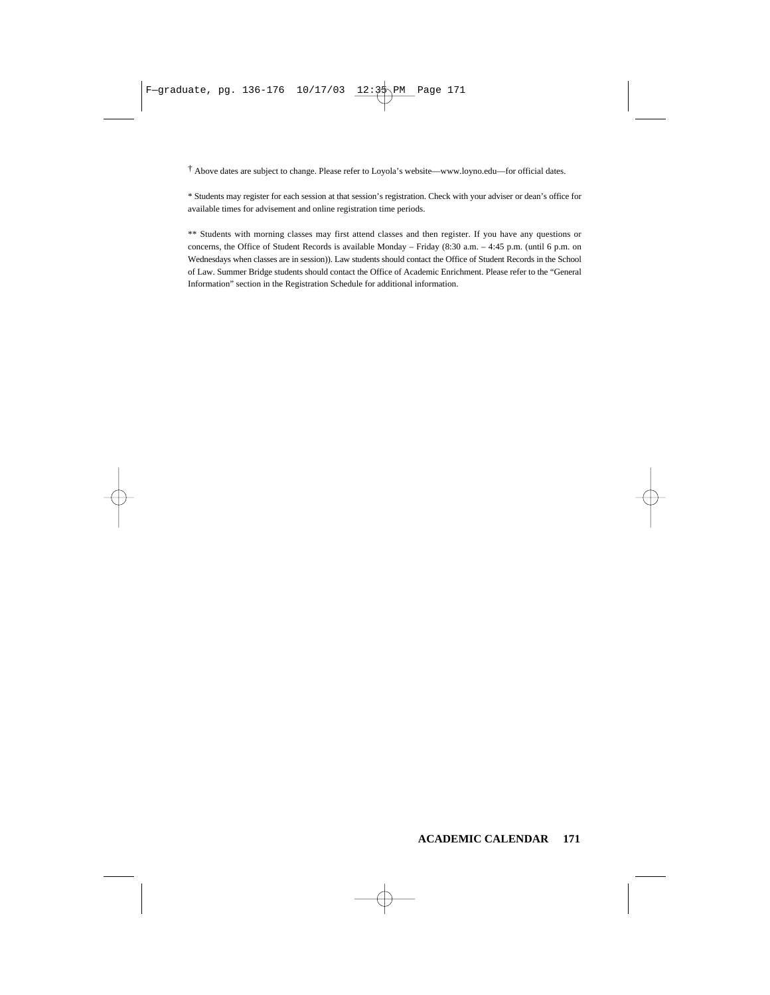† Above dates are subject to change. Please refer to Loyola's website—www.loyno.edu—for official dates.

\* Students may register for each session at that session's registration. Check with your adviser or dean's office for available times for advisement and online registration time periods.

\*\* Students with morning classes may first attend classes and then register. If you have any questions or concerns, the Office of Student Records is available Monday – Friday (8:30 a.m. – 4:45 p.m. (until 6 p.m. on Wednesdays when classes are in session)). Law students should contact the Office of Student Records in the School of Law. Summer Bridge students should contact the Office of Academic Enrichment. Please refer to the "General Information" section in the Registration Schedule for additional information.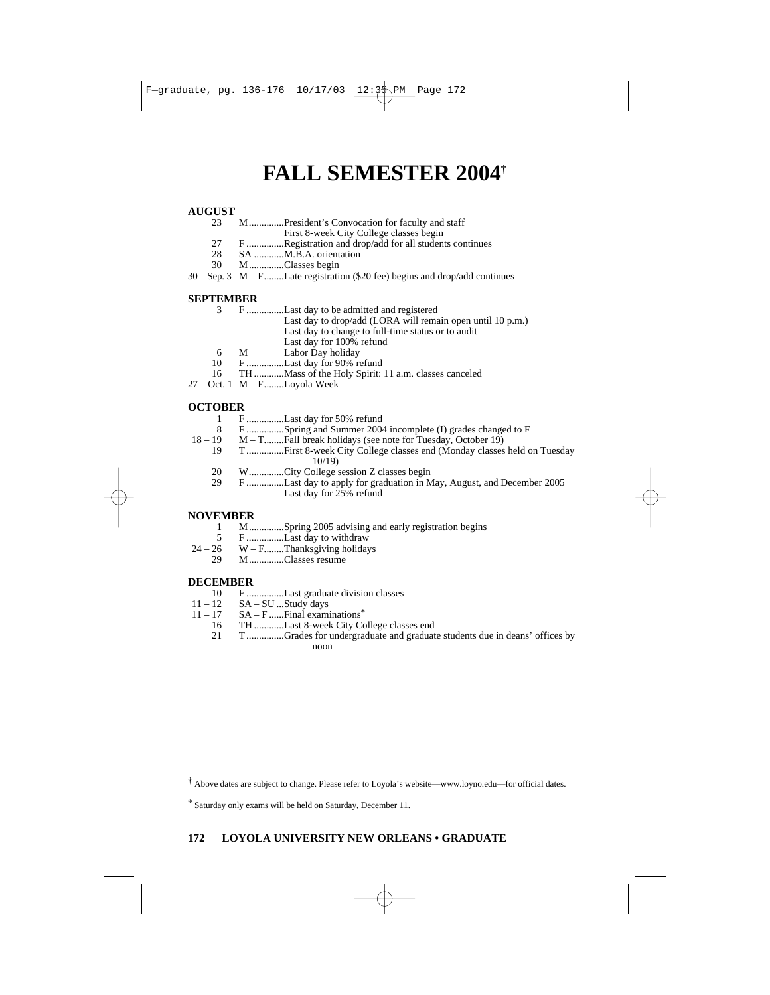# **FALL SEMESTER 2004†**

# **AUGUST**

- 23 M..............President's Convocation for faculty and staff
	- First 8-week City College classes begin
- 27 F ...............Registration and drop/add for all students continues
- 28 SA ...........M.B.A. orientation<br>30 M Classes begin
- 30 M..............Classes begin
- 30 Sep. 3 M F........Late registration (\$20 fee) begins and drop/add continues

### **SEPTEMBER**

| FLast day to be admitted and registered |
|-----------------------------------------|
|-----------------------------------------|

- Last day to drop/add (LORA will remain open until 10 p.m.)
- Last day to change to full-time status or to audit
- Last day for 100% refund
- 6 M Labor Day holiday<br>10 F ................Last day for 90% re
- 10 F ...............Last day for 90% refund<br>16 TH ............Mass of the Holy Spirit:
- TH ............Mass of the Holy Spirit: 11 a.m. classes canceled
- 27 Oct. 1 M F........Loyola Week

# **OCTOBER**

- 1 F ...............Last day for 50% refund
- 8 F ...............Spring and Summer 2004 incomplete (I) grades changed to F
	- $M T$ ..........Fall break holidays (see note for Tuesday, October 19)
		- 19 T ...............First 8-week City College classes end (Monday classes held on Tuesday 10/19)
			- 20 W..............City College session Z classes begin
			- 29 F ...............Last day to apply for graduation in May, August, and December 2005 Last day for 25% refund

#### **NOVEMBER**

- 1 M..............Spring 2005 advising and early registration begins
- 5 F ...............Last day to withdraw
- $24 26$  W F.........Thanksgiving holidays<br>29 M
	- 29 M..............Classes resume

# DECEMBER<br>10 F.

- 10 F ...............Last graduate division classes
- $11 12$  SA SU ...Study days<br> $11 17$  SA F<sub>ree</sub> Final exam
- 17 SA F ...... Final examinations<sup>\*</sup><br>16 TH Last 8-week City Co
	- 16 TH .............Last 8-week City College classes end<br>21 T ................Grades for undergraduate and graduat
		- 21 T ...............Grades for undergraduate and graduate students due in deans' offices by noon

† Above dates are subject to change. Please refer to Loyola's website—www.loyno.edu—for official dates.

\* Saturday only exams will be held on Saturday, December 11.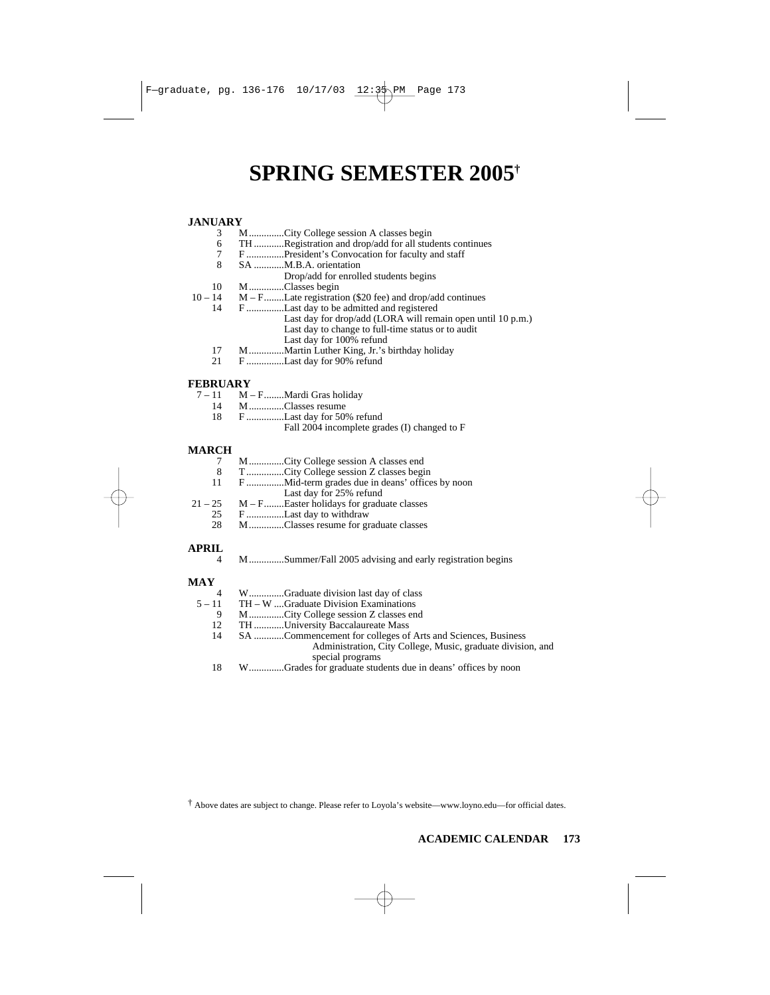# **SPRING SEMESTER 2005†**

# **JANUARY**

- 3 M...............City College session A classes begin<br>6 TH.............Registration and drop/add for all student
- 6 TH .............Registration and drop/add for all students continues<br>7 F ................President's Convocation for faculty and staff
- 7 F ...............President's Convocation for faculty and staff
- SA ............M.B.A. orientation
- Drop/add for enrolled students begins
- $10$  M..............Classes begin<br> $10-14$  M F........Late registrati
	- 10 14 M F........Late registration (\$20 fee) and drop/add continues
		- F ...............Last day to be admitted and registered
			- Last day for drop/add (LORA will remain open until 10 p.m.) Last day to change to full-time status or to audit
			- Last day for 100% refund
		- 17 M................Martin Luther King, Jr.'s birthday holiday<br>21 F...............Last day for 90% refund
		- F ..............Last day for 90% refund

### **FEBRUARY**

- $7-11$  M F........Mardi Gras holiday
	- 14 M..............Classes resume
	- 18 F ...............Last day for 50% refund
		- Fall 2004 incomplete grades (I) changed to F

## **MARCH**<sub>7</sub>

- 7 M...............City College session A classes end<br>8 T...............City College session Z classes begi
- T................City College session Z classes begin
- 11 F ...............Mid-term grades due in deans' offices by noon
- Last day for 25% refund
- $21 25$  M F........Easter holidays for graduate classes
	- 25 F ................Last day to withdraw<br>28 M Classes resume for gr
	- 28 M..............Classes resume for graduate classes

## **APRIL**

4 M..............Summer/Fall 2005 advising and early registration begins

### **MAY**

| 4        | WGraduate division last day of class                        |
|----------|-------------------------------------------------------------|
| $5 - 11$ | $TH - W$ Graduate Division Examinations                     |
| 9        | MCity College session Z classes end                         |
| 12       | TH University Baccalaureate Mass                            |
| 14       | SA Commencement for colleges of Arts and Sciences, Business |
|          | Administration, City College, Music, graduate division, and |
|          | special programs                                            |
|          | WGrades for graduate students due in deans' offices by noon |

 $\ddot{\text{ } }$  Above dates are subject to change. Please refer to Lovola's website—www.lovno.edu—for official dates.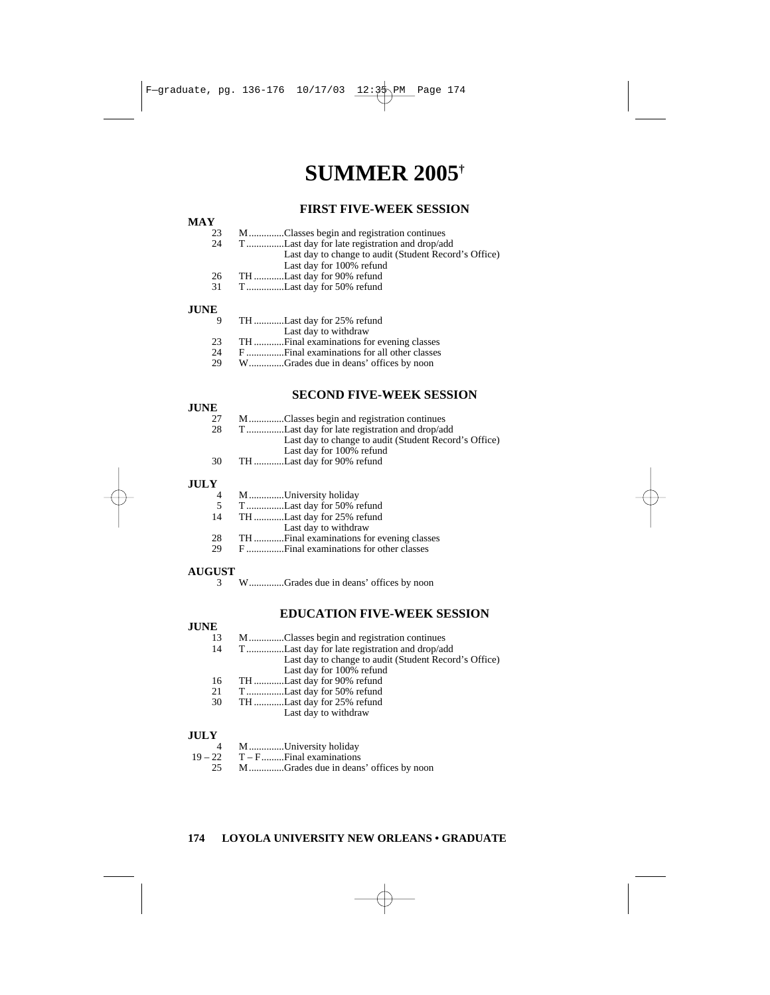# **SUMMER 2005†**

### **FIRST FIVE-WEEK SESSION**

| 23 |  |  | MClasses begin and registration continues |  |
|----|--|--|-------------------------------------------|--|
|    |  |  |                                           |  |

- 24 T ...............Last day for late registration and drop/add Last day to change to audit (Student Record's Office) Last day for 100% refund
- 26 TH ............Last day for 90% refund
- 31 T ...............Last day for 50% refund

### **JUNE**

| -9 | TH Last day for 25% refund            |
|----|---------------------------------------|
|    | Last day to withdraw                  |
| 23 |                                       |
| 24 |                                       |
| 29 | WGrades due in deans' offices by noon |

### **SECOND FIVE-WEEK SESSION**

#### **JUNE**

| 27 | MClasses begin and registration continues             |
|----|-------------------------------------------------------|
| 28 | TLast day for late registration and drop/add          |
|    | Last day to change to audit (Student Record's Office) |
|    | Last day for 100% refund                              |
| 30 | THLast day for 90% refund                             |
|    |                                                       |

# **JULY**

- 4 M..............University holiday<br>5 T...............Last day for 50% r
- 5 T...............Last day for 50% refund
- 14 TH ............Last day for 25% refund
- Last day to withdraw
- 28 TH ............Final examinations for evening classes
- F ................Final examinations for other classes

### **AUGUST**

### **EDUCATION FIVE-WEEK SESSION**

# **JUNE**<sub>13</sub>

- 13 M..............Classes begin and registration continues<br>14 T................Last day for late registration and drop/ad
- T ...............Last day for late registration and drop/add Last day to change to audit (Student Record's Office) Last day for 100% refund
- 16 TH ............Last day for 90% refund
- T ...............Last day for 50% refund
- 30 TH ............Last day for 25% refund
	- Last day to withdraw

# $JULY$ <sup>4</sup>

4 M..............University holiday<br>19 – 22 T – F.........Final examinations

 $T - F$ ..........Final examinations

25 M..............Grades due in deans' offices by noon

<sup>3</sup> W..............Grades due in deans' offices by noon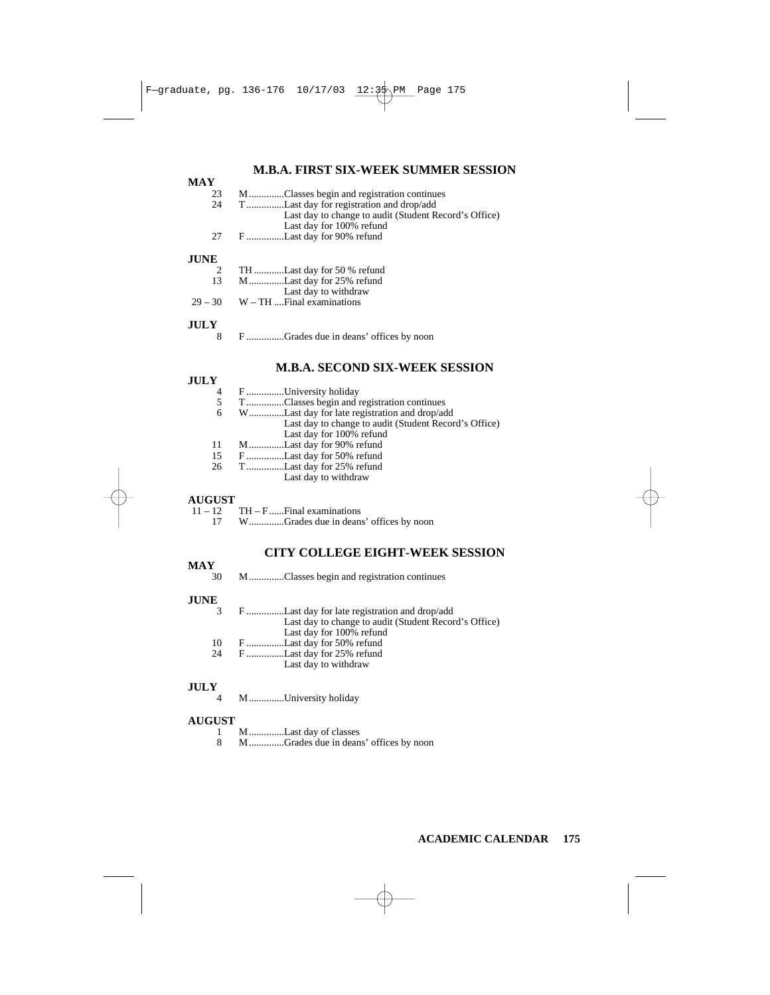### **M.B.A. FIRST SIX-WEEK SUMMER SESSION**

| <b>MAY</b>  |                                                       |
|-------------|-------------------------------------------------------|
| 23          | MClasses begin and registration continues             |
| 24          | TLast day for registration and drop/add               |
|             | Last day to change to audit (Student Record's Office) |
|             | Last day for 100% refund                              |
| 27          | FLast day for 90% refund                              |
| <b>JUNE</b> |                                                       |
| 2           | TH Last day for 50 % refund                           |
| 13          | MLast day for 25% refund                              |
|             | Last day to withdraw                                  |
| $29 - 30$   | $W - TH$ Final examinations                           |
| <b>JULY</b> |                                                       |
| 8           | FGrades due in deans' offices by noon                 |

### **M.B.A. SECOND SIX-WEEK SESSION**

### **JULY**

| . . |                                                       |
|-----|-------------------------------------------------------|
| 4   | F University holiday                                  |
| 5   | TClasses begin and registration continues             |
| 6   | WLast day for late registration and drop/add          |
|     | Last day to change to audit (Student Record's Office) |
|     | Last day for 100% refund                              |
| 11  | MLast day for 90% refund                              |
| 15  | FLast day for 50% refund                              |
| 26  | TLast day for 25% refund                              |
|     | $T = -4$ $A = -4$ $A = -14$ $A = -1$                  |

Last day to withdraw

# **AUGUST**

| $11 - 12$ TH – F Final examinations      |
|------------------------------------------|
| 17 WGrades due in deans' offices by noon |

### **CITY COLLEGE EIGHT-WEEK SESSION**

# $\frac{MAY}{30}$

30 M..............Classes begin and registration continues

#### **JUNE**

| 3  | FLast day for late registration and drop/add          |
|----|-------------------------------------------------------|
|    | Last day to change to audit (Student Record's Office) |
|    | Last day for 100% refund                              |
| 10 | FLast day for 50% refund                              |
| 24 | FLast day for 25% refund                              |

Last day to withdraw

# $JULY$ <sub>4</sub>

4 M..............University holiday

### **AUGUST**

- 1 M..............Last day of classes
- 8 M..............Grades due in deans' offices by noon